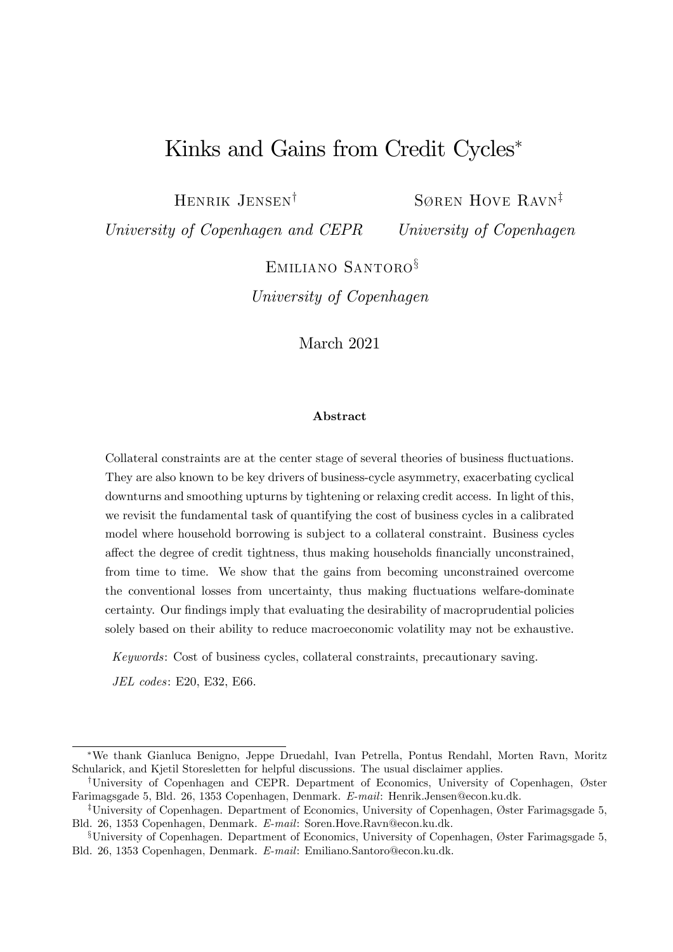# Kinks and Gains from Credit Cycles<sup>\*</sup>

HENRIK JENSEN<sup>†</sup>

SØREN HOVE RAVN<sup>‡</sup>

University of Copenhagen and CEPR

University of Copenhagen

EMILIANO SANTORO<sup>§</sup>

University of Copenhagen

March 2021

#### Abstract

Collateral constraints are at the center stage of several theories of business fluctuations. They are also known to be key drivers of business-cycle asymmetry, exacerbating cyclical downturns and smoothing upturns by tightening or relaxing credit access. In light of this, we revisit the fundamental task of quantifying the cost of business cycles in a calibrated model where household borrowing is subject to a collateral constraint. Business cycles affect the degree of credit tightness, thus making households financially unconstrained, from time to time. We show that the gains from becoming unconstrained overcome the conventional losses from uncertainty, thus making fluctuations welfare-dominate certainty. Our findings imply that evaluating the desirability of macroprudential policies solely based on their ability to reduce macroeconomic volatility may not be exhaustive.

Keywords: Cost of business cycles, collateral constraints, precautionary saving.

JEL codes: E20, E32, E66.

We thank Gianluca Benigno, Jeppe Druedahl, Ivan Petrella, Pontus Rendahl, Morten Ravn, Moritz Schularick, and Kjetil Storesletten for helpful discussions. The usual disclaimer applies.

<sup>&</sup>lt;sup>†</sup>University of Copenhagen and CEPR. Department of Economics, University of Copenhagen, Øster Farimagsgade 5, Bld. 26, 1353 Copenhagen, Denmark. E-mail: Henrik.Jensen@econ.ku.dk.

<sup>&</sup>lt;sup>‡</sup>University of Copenhagen. Department of Economics, University of Copenhagen, Øster Farimagsgade 5, Bld. 26, 1353 Copenhagen, Denmark. E-mail: Soren.Hove.Ravn@econ.ku.dk.

 $$University of Copenhagen. Department of Economics, University of Copenhagen, Øster Farimagsgade 5,$ Bld. 26, 1353 Copenhagen, Denmark. E-mail: Emiliano.Santoro@econ.ku.dk.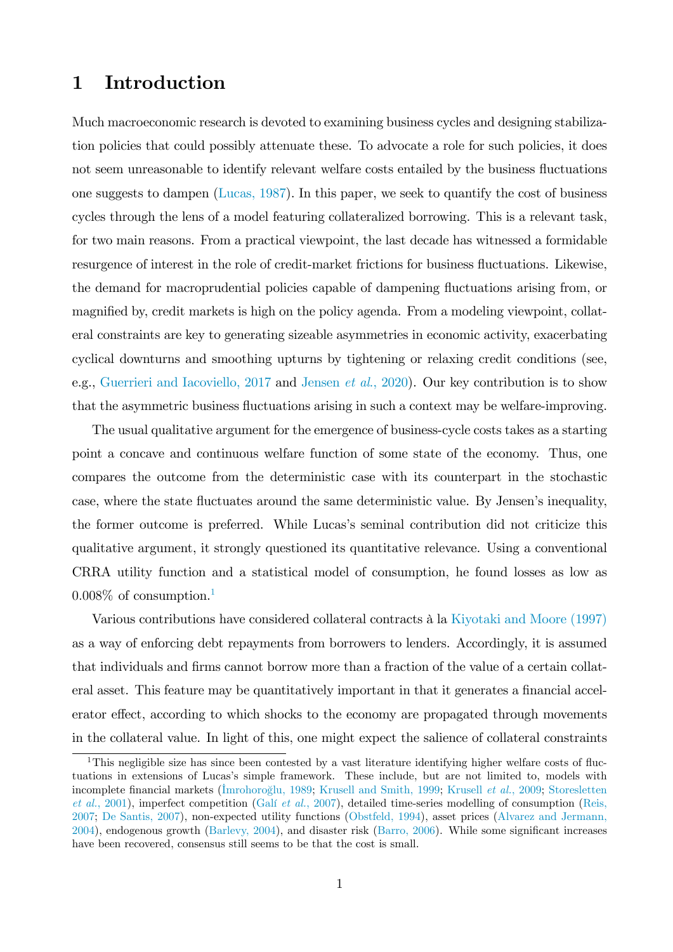### <span id="page-1-1"></span>1 Introduction

Much macroeconomic research is devoted to examining business cycles and designing stabilization policies that could possibly attenuate these. To advocate a role for such policies, it does not seem unreasonable to identify relevant welfare costs entailed by the business fluctuations one suggests to dampen [\(Lucas, 1987\)](#page-20-0). In this paper, we seek to quantify the cost of business cycles through the lens of a model featuring collateralized borrowing. This is a relevant task, for two main reasons. From a practical viewpoint, the last decade has witnessed a formidable resurgence of interest in the role of credit-market frictions for business fluctuations. Likewise, the demand for macroprudential policies capable of dampening fluctuations arising from, or magnified by, credit markets is high on the policy agenda. From a modeling viewpoint, collateral constraints are key to generating sizeable asymmetries in economic activity, exacerbating cyclical downturns and smoothing upturns by tightening or relaxing credit conditions (see, e.g., [Guerrieri and Iacoviello, 2017](#page-18-0) and Jensen *et al.*, 2020). Our key contribution is to show that the asymmetric business fluctuations arising in such a context may be welfare-improving.

The usual qualitative argument for the emergence of business-cycle costs takes as a starting point a concave and continuous welfare function of some state of the economy. Thus, one compares the outcome from the deterministic case with its counterpart in the stochastic case, where the state fluctuates around the same deterministic value. By Jensen's inequality, the former outcome is preferred. While Lucas's seminal contribution did not criticize this qualitative argument, it strongly questioned its quantitative relevance. Using a conventional CRRA utility function and a statistical model of consumption, he found losses as low as  $0.008\%$  of consumption.

Various contributions have considered collateral contracts à la [Kiyotaki and Moore \(1997\)](#page-19-0) as a way of enforcing debt repayments from borrowers to lenders. Accordingly, it is assumed that individuals and firms cannot borrow more than a fraction of the value of a certain collateral asset. This feature may be quantitatively important in that it generates a financial accelerator effect, according to which shocks to the economy are propagated through movements in the collateral value. In light of this, one might expect the salience of collateral constraints

<span id="page-1-0"></span><sup>&</sup>lt;sup>1</sup>This negligible size has since been contested by a vast literature identifying higher welfare costs of fluctuations in extensions of Lucas's simple framework. These include, but are not limited to, models with incomplete financial markets [\(Imrohoro](#page-18-2)ğlu, 1989; [Krusell and Smith, 1999;](#page-19-1) [Krusell](#page-19-1) et al., 2009; [Storesletten](#page-21-0)  $et al., 2001$ ), imperfect competition (Galí  $et al., 2007$ ), detailed time-series modelling of consumption [\(Reis,](#page-20-1) [2007;](#page-20-1) [De Santis, 2007\)](#page-18-4), non-expected utility functions [\(Obstfeld, 1994\)](#page-20-2), asset prices [\(Alvarez and Jermann,](#page-17-0)  $2004$ ), endogenous growth (Barlevy,  $2004$ ), and disaster risk (Barro,  $2006$ ). While some significant increases have been recovered, consensus still seems to be that the cost is small.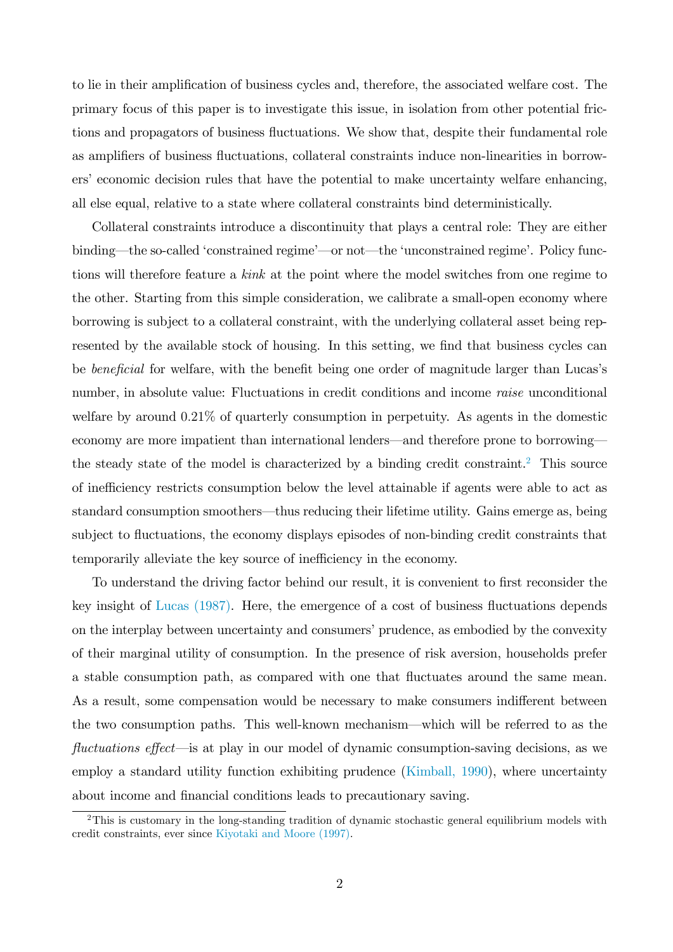to lie in their amplification of business cycles and, therefore, the associated welfare cost. The primary focus of this paper is to investigate this issue, in isolation from other potential frictions and propagators of business fluctuations. We show that, despite their fundamental role as amplifiers of business fluctuations, collateral constraints induce non-linearities in borrowers' economic decision rules that have the potential to make uncertainty welfare enhancing, all else equal, relative to a state where collateral constraints bind deterministically.

Collateral constraints introduce a discontinuity that plays a central role: They are either binding—the so-called 'constrained regime'—or not—the 'unconstrained regime'. Policy functions will therefore feature a kink at the point where the model switches from one regime to the other. Starting from this simple consideration, we calibrate a small-open economy where borrowing is subject to a collateral constraint, with the underlying collateral asset being represented by the available stock of housing. In this setting, we find that business cycles can be *beneficial* for welfare, with the benefit being one order of magnitude larger than Lucas's number, in absolute value: Fluctuations in credit conditions and income raise unconditional welfare by around  $0.21\%$  of quarterly consumption in perpetuity. As agents in the domestic economy are more impatient than international lenders—and therefore prone to borrowing— the steady state of the model is characterized by a binding credit constraint.<sup>[2](#page-2-0)</sup> This source of inefficiency restricts consumption below the level attainable if agents were able to act as standard consumption smoothers—thus reducing their lifetime utility. Gains emerge as, being subject to fluctuations, the economy displays episodes of non-binding credit constraints that temporarily alleviate the key source of inefficiency in the economy.

To understand the driving factor behind our result, it is convenient to first reconsider the key insight of Lucas  $(1987)$ . Here, the emergence of a cost of business fluctuations depends on the interplay between uncertainty and consumers' prudence, as embodied by the convexity of their marginal utility of consumption. In the presence of risk aversion, households prefer a stable consumption path, as compared with one that fluctuates around the same mean. As a result, some compensation would be necessary to make consumers indifferent between the two consumption paths. This well-known mechanism—which will be referred to as the fluctuations effect—is at play in our model of dynamic consumption-saving decisions, as we employ a standard utility function exhibiting prudence [\(Kimball, 1990\)](#page-19-2), where uncertainty about income and financial conditions leads to precautionary saving.

<span id="page-2-0"></span><sup>2</sup>This is customary in the long-standing tradition of dynamic stochastic general equilibrium models with credit constraints, ever since [Kiyotaki and Moore \(1997\).](#page-19-0)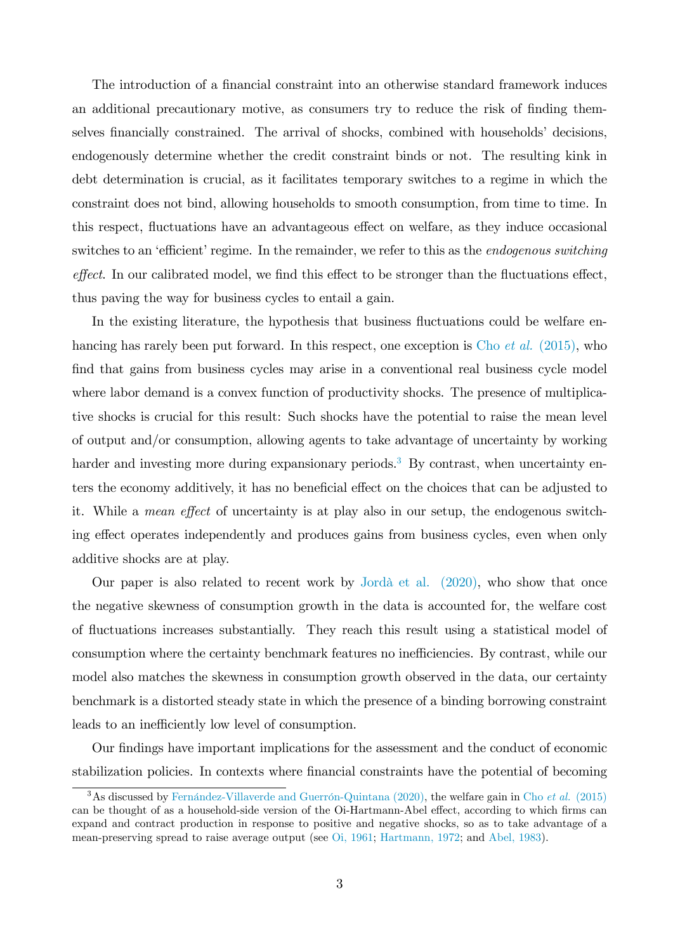The introduction of a financial constraint into an otherwise standard framework induces an additional precautionary motive, as consumers try to reduce the risk of finding themselves financially constrained. The arrival of shocks, combined with households decisions, endogenously determine whether the credit constraint binds or not. The resulting kink in debt determination is crucial, as it facilitates temporary switches to a regime in which the constraint does not bind, allowing households to smooth consumption, from time to time. In this respect, fluctuations have an advantageous effect on welfare, as they induce occasional switches to an 'efficient' regime. In the remainder, we refer to this as the *endogenous switching*  $effect.$  In our calibrated model, we find this effect to be stronger than the fluctuations effect, thus paving the way for business cycles to entail a gain.

In the existing literature, the hypothesis that business fluctuations could be welfare enhancing has rarely been put forward. In this respect, one exception is Cho *et al.* [\(2015\),](#page-18-5) who find that gains from business cycles may arise in a conventional real business cycle model where labor demand is a convex function of productivity shocks. The presence of multiplicative shocks is crucial for this result: Such shocks have the potential to raise the mean level of output and/or consumption, allowing agents to take advantage of uncertainty by working harder and investing more during expansionary periods.<sup>[3](#page-3-0)</sup> By contrast, when uncertainty enters the economy additively, it has no beneficial effect on the choices that can be adjusted to it. While a *mean effect* of uncertainty is at play also in our setup, the endogenous switching effect operates independently and produces gains from business cycles, even when only additive shocks are at play.

Our paper is also related to recent work by Jordà et al.  $(2020)$ , who show that once the negative skewness of consumption growth in the data is accounted for, the welfare cost of áuctuations increases substantially. They reach this result using a statistical model of consumption where the certainty benchmark features no inefficiencies. By contrast, while our model also matches the skewness in consumption growth observed in the data, our certainty benchmark is a distorted steady state in which the presence of a binding borrowing constraint leads to an inefficiently low level of consumption.

Our Öndings have important implications for the assessment and the conduct of economic stabilization policies. In contexts where financial constraints have the potential of becoming

<span id="page-3-0"></span><sup>&</sup>lt;sup>3</sup>As discussed by Fernández-Villaverde and Guerrón-Quintana (2020), the welfare gain in Cho et al. [\(2015\)](#page-18-5) can be thought of as a household-side version of the Oi-Hartmann-Abel effect, according to which firms can expand and contract production in response to positive and negative shocks, so as to take advantage of a mean-preserving spread to raise average output (see [Oi, 1961;](#page-20-3) [Hartmann, 1972;](#page-18-7) and [Abel, 1983\)](#page-17-3).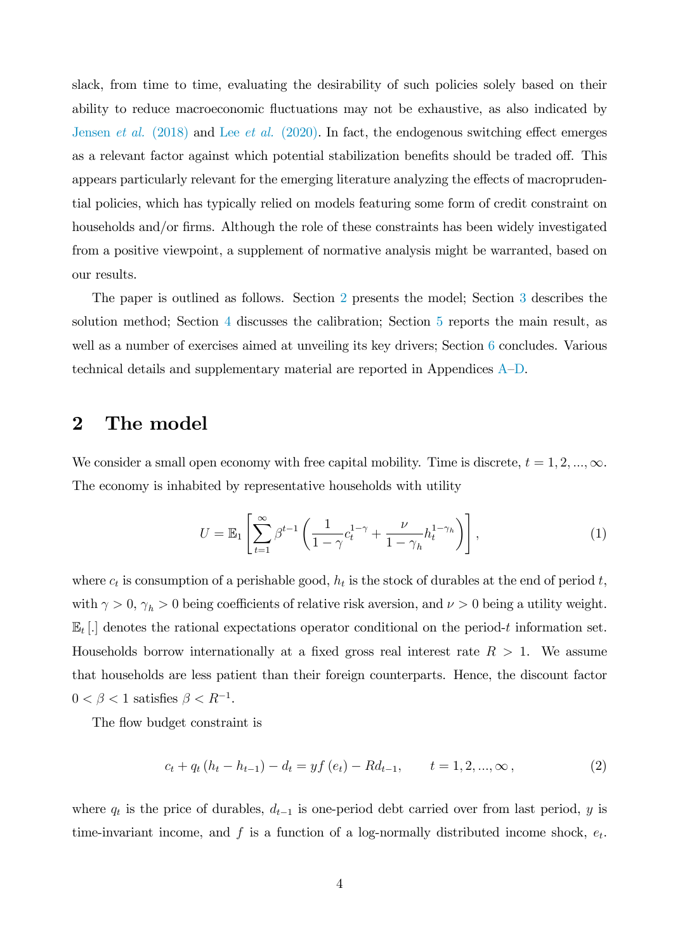slack, from time to time, evaluating the desirability of such policies solely based on their ability to reduce macroeconomic fluctuations may not be exhaustive, as also indicated by [Jensen](#page-18-8) *et al.* (2018) and Lee *et al.* [\(2020\).](#page-19-4) In fact, the endogenous switching effect emerges as a relevant factor against which potential stabilization benefits should be traded off. This appears particularly relevant for the emerging literature analyzing the effects of macroprudential policies, which has typically relied on models featuring some form of credit constraint on households and/or firms. Although the role of these constraints has been widely investigated from a positive viewpoint, a supplement of normative analysis might be warranted, based on our results.

The paper is outlined as follows. Section [2](#page-4-0) presents the model; Section [3](#page-6-0) describes the solution method; Section [4](#page-7-0) discusses the calibration; Section [5](#page-8-0) reports the main result, as well as a number of exercises aimed at unveiling its key drivers; Section [6](#page-16-0) concludes. Various technical details and supplementary material are reported in [A](#page-1-1)ppendices  $A-D$ .

### <span id="page-4-0"></span>2 The model

We consider a small open economy with free capital mobility. Time is discrete,  $t = 1, 2, ..., \infty$ . The economy is inhabited by representative households with utility

$$
U = \mathbb{E}_1 \left[ \sum_{t=1}^{\infty} \beta^{t-1} \left( \frac{1}{1-\gamma} c_t^{1-\gamma} + \frac{\nu}{1-\gamma_h} h_t^{1-\gamma_h} \right) \right],\tag{1}
$$

where  $c_t$  is consumption of a perishable good,  $h_t$  is the stock of durables at the end of period t, with  $\gamma > 0$ ,  $\gamma_h > 0$  being coefficients of relative risk aversion, and  $\nu > 0$  being a utility weight.  $\mathbb{E}_t$ [.] denotes the rational expectations operator conditional on the period-t information set. Households borrow internationally at a fixed gross real interest rate  $R > 1$ . We assume that households are less patient than their foreign counterparts. Hence, the discount factor  $0 < \beta < 1$  satisfies  $\beta < R^{-1}$ .

The flow budget constraint is

<span id="page-4-1"></span>
$$
c_{t} + q_{t} (h_{t} - h_{t-1}) - d_{t} = y f (e_{t}) - R d_{t-1}, \qquad t = 1, 2, ..., \infty ,
$$
\n(2)

where  $q_t$  is the price of durables,  $d_{t-1}$  is one-period debt carried over from last period, y is time-invariant income, and  $f$  is a function of a log-normally distributed income shock,  $e_t$ .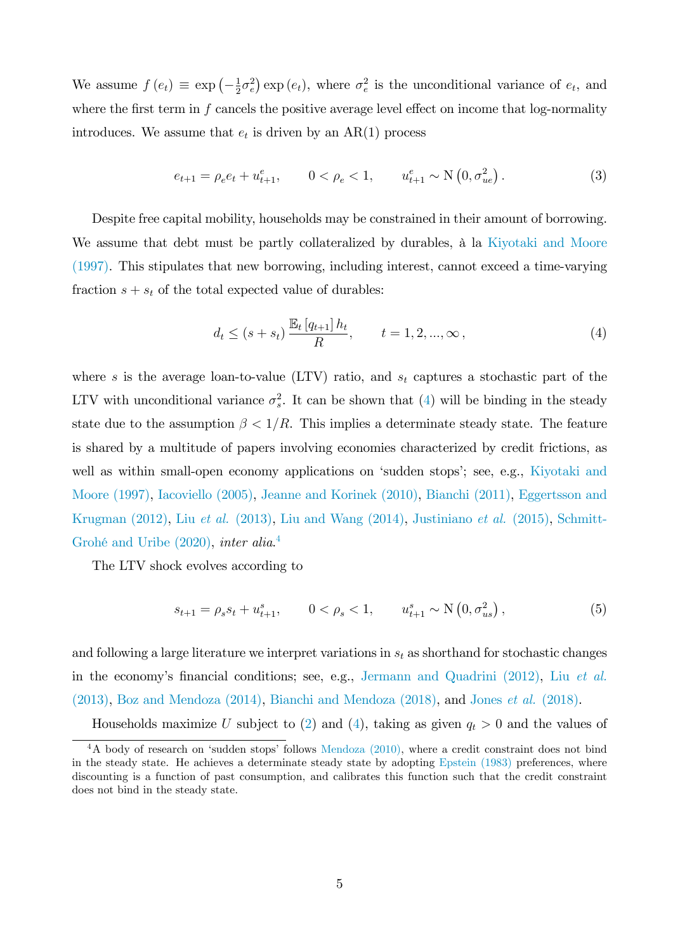We assume  $f(e_t) \equiv \exp\left(-\frac{1}{2}\right)$  $(\frac{1}{2}\sigma_e^2)$  exp  $(e_t)$ , where  $\sigma_e^2$  is the unconditional variance of  $e_t$ , and where the first term in  $f$  cancels the positive average level effect on income that log-normality introduces. We assume that  $e_t$  is driven by an  $AR(1)$  process

<span id="page-5-2"></span>
$$
e_{t+1} = \rho_e e_t + u_{t+1}^e, \qquad 0 < \rho_e < 1, \qquad u_{t+1}^e \sim \mathcal{N}\left(0, \sigma_{ue}^2\right). \tag{3}
$$

Despite free capital mobility, households may be constrained in their amount of borrowing. We assume that debt must be partly collateralized by durables,  $\hat{a}$  la [Kiyotaki and Moore](#page-19-0) [\(1997\).](#page-19-0) This stipulates that new borrowing, including interest, cannot exceed a time-varying fraction  $s + s_t$  of the total expected value of durables:

<span id="page-5-0"></span>
$$
d_t \le (s + s_t) \frac{\mathbb{E}_t [q_{t+1}] h_t}{R}, \qquad t = 1, 2, ..., \infty,
$$
\n(4)

where s is the average loan-to-value (LTV) ratio, and  $s_t$  captures a stochastic part of the LTV with unconditional variance  $\sigma_s^2$ . It can be shown that [\(4\)](#page-5-0) will be binding in the steady state due to the assumption  $\beta < 1/R$ . This implies a determinate steady state. The feature is shared by a multitude of papers involving economies characterized by credit frictions, as well as within small-open economy applications on 'sudden stops'; see, e.g., [Kiyotaki and](#page-19-0) [Moore \(1997\),](#page-19-0) [Iacoviello \(2005\),](#page-18-9) [Jeanne and Korinek \(2010\),](#page-19-5) [Bianchi \(2011\),](#page-17-4) [Eggertsson and](#page-18-10) [Krugman \(2012\),](#page-18-10) Liu et al. [\(2013\),](#page-19-6) [Liu and Wang \(2014\),](#page-19-7) [Justiniano](#page-19-8) et al. (2015), [Schmitt-](#page-20-4)Grohé and Uribe (2020), inter alia.<sup>[4](#page-5-1)</sup>

The LTV shock evolves according to

<span id="page-5-3"></span>
$$
s_{t+1} = \rho_s s_t + u_{t+1}^s, \qquad 0 < \rho_s < 1, \qquad u_{t+1}^s \sim \mathcal{N}\left(0, \sigma_{us}^2\right),\tag{5}
$$

and following a large literature we interpret variations in  $s_t$  as shorthand for stochastic changes in the economy's financial conditions; see, e.g., [Jermann and Quadrini \(2012\),](#page-19-9) Liu [et al.](#page-19-6)  $(2013)$ , Boz and Mendoza  $(2014)$ , Bianchi and Mendoza  $(2018)$ , and Jones *et al.*  $(2018)$ .

Households maximize U subject to [\(2\)](#page-4-1) and [\(4\)](#page-5-0), taking as given  $q_t > 0$  and the values of

<span id="page-5-1"></span> $4A$  body of research on 'sudden stops' follows [Mendoza \(2010\),](#page-20-5) where a credit constraint does not bind in the steady state. He achieves a determinate steady state by adopting [Epstein \(1983\)](#page-18-11) preferences, where discounting is a function of past consumption, and calibrates this function such that the credit constraint does not bind in the steady state.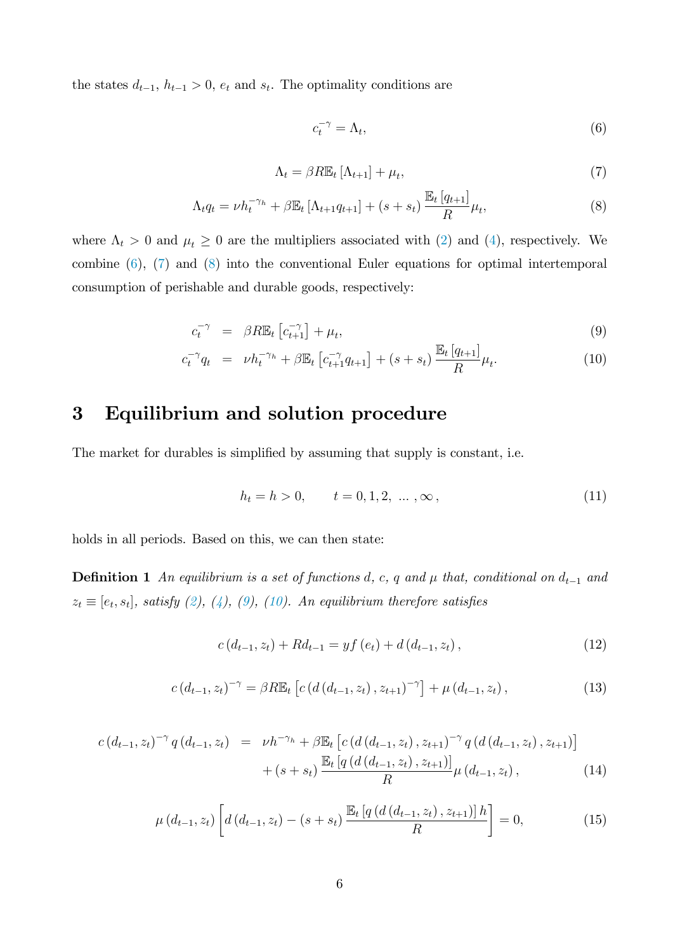the states  $d_{t-1}, h_{t-1} > 0$ ,  $e_t$  and  $s_t$ . The optimality conditions are

<span id="page-6-1"></span>
$$
c_t^{-\gamma} = \Lambda_t,\tag{6}
$$

<span id="page-6-2"></span>
$$
\Lambda_t = \beta R \mathbb{E}_t \left[ \Lambda_{t+1} \right] + \mu_t,\tag{7}
$$

<span id="page-6-3"></span>
$$
\Lambda_t q_t = \nu h_t^{-\gamma_h} + \beta \mathbb{E}_t \left[ \Lambda_{t+1} q_{t+1} \right] + (s + s_t) \frac{\mathbb{E}_t \left[ q_{t+1} \right]}{R} \mu_t,
$$
\n
$$
(8)
$$

where  $\Lambda_t > 0$  and  $\mu_t \geq 0$  are the multipliers associated with [\(2\)](#page-4-1) and [\(4\)](#page-5-0), respectively. We combine [\(6\)](#page-6-1), [\(7\)](#page-6-2) and [\(8\)](#page-6-3) into the conventional Euler equations for optimal intertemporal consumption of perishable and durable goods, respectively:

<span id="page-6-4"></span>
$$
c_t^{-\gamma} = \beta R \mathbb{E}_t \left[ c_{t+1}^{-\gamma} \right] + \mu_t, \tag{9}
$$

$$
c_t^{-\gamma} q_t = \nu h_t^{-\gamma_h} + \beta \mathbb{E}_t \left[ c_{t+1}^{-\gamma} q_{t+1} \right] + (s + s_t) \frac{\mathbb{E}_t \left[ q_{t+1} \right]}{R} \mu_t.
$$
 (10)

## <span id="page-6-0"></span>3 Equilibrium and solution procedure

The market for durables is simplified by assuming that supply is constant, i.e.

$$
h_t = h > 0, \qquad t = 0, 1, 2, \dots, \infty,
$$
\n(11)

holds in all periods. Based on this, we can then state:

**Definition 1** An equilibrium is a set of functions d, c, q and  $\mu$  that, conditional on  $d_{t-1}$  and  $z_t \equiv [e_t, s_t]$ , satisfy [\(2\)](#page-4-1), [\(4\)](#page-5-0), [\(9\)](#page-6-4), [\(10\)](#page-6-4). An equilibrium therefore satisfies

<span id="page-6-6"></span>
$$
c(d_{t-1}, z_t) + Rd_{t-1} = yf(e_t) + d(d_{t-1}, z_t),
$$
\n(12)

<span id="page-6-7"></span>
$$
c(d_{t-1}, z_t)^{-\gamma} = \beta R \mathbb{E}_t \left[ c\left( d\left(d_{t-1}, z_t\right), z_{t+1}\right)^{-\gamma} \right] + \mu\left(d_{t-1}, z_t\right),\tag{13}
$$

<span id="page-6-8"></span>
$$
c(d_{t-1}, z_t)^{-\gamma} q(d_{t-1}, z_t) = \nu h^{-\gamma_h} + \beta \mathbb{E}_t \left[ c\left(d\left(d_{t-1}, z_t\right), z_{t+1}\right)^{-\gamma} q\left(d\left(d_{t-1}, z_t\right), z_{t+1}\right) \right] + (s + s_t) \frac{\mathbb{E}_t \left[ q\left(d\left(d_{t-1}, z_t\right), z_{t+1}\right) \right]}{R} \mu\left(d_{t-1}, z_t\right), \tag{14}
$$

<span id="page-6-5"></span>
$$
\mu(d_{t-1}, z_t) \left[ d(d_{t-1}, z_t) - (s + s_t) \frac{\mathbb{E}_t \left[ q(d(d_{t-1}, z_t), z_{t+1}) \right] h}{R} \right] = 0, \tag{15}
$$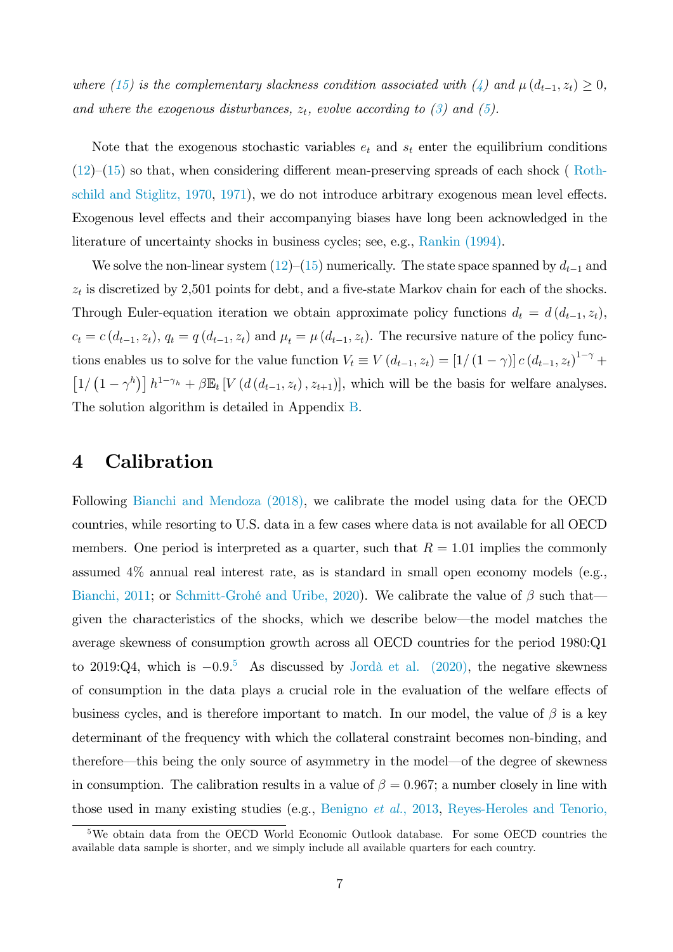where [\(15\)](#page-6-5) is the complementary slackness condition associated with [\(4\)](#page-5-0) and  $\mu(d_{t-1}, z_t) \geq 0$ , and where the exogenous disturbances,  $z_t$ , evolve according to [\(3\)](#page-5-2) and [\(5\)](#page-5-3).

Note that the exogenous stochastic variables  $e_t$  and  $s_t$  enter the equilibrium conditions  $(12)–(15)$  $(12)–(15)$  $(12)–(15)$  so that, when considering different mean-preserving spreads of each shock ( [Roth](#page-20-6)schild and Stiglitz,  $1970$ ,  $1971$ ), we do not introduce arbitrary exogenous mean level effects. Exogenous level effects and their accompanying biases have long been acknowledged in the literature of uncertainty shocks in business cycles; see, e.g., [Rankin \(1994\).](#page-20-8)

We solve the non-linear system  $(12)$ – $(15)$  numerically. The state space spanned by  $d_{t-1}$  and  $z_t$  is discretized by 2,501 points for debt, and a five-state Markov chain for each of the shocks. Through Euler-equation iteration we obtain approximate policy functions  $d_t = d(d_{t-1}, z_t)$ ,  $c_t = c(d_{t-1}, z_t)$ ,  $q_t = q(d_{t-1}, z_t)$  and  $\mu_t = \mu(d_{t-1}, z_t)$ . The recursive nature of the policy functions enables us to solve for the value function  $V_t \equiv V(d_{t-1}, z_t) = [1/(1-\gamma)] c (d_{t-1}, z_t)^{1-\gamma} +$  $\left[1/\left(1-\gamma^h\right)\right]h^{1-\gamma_h}+\beta\mathbb{E}_t\left[V\left(d\left(d_{t-1},z_t\right),z_{t+1}\right)\right],$  which will be the basis for welfare analyses. The solution algorithm is detailed in Appendix [B.](#page-4-0)

### <span id="page-7-0"></span>4 Calibration

Following [Bianchi and Mendoza \(2018\),](#page-17-6) we calibrate the model using data for the OECD countries, while resorting to U.S. data in a few cases where data is not available for all OECD members. One period is interpreted as a quarter, such that  $R = 1.01$  implies the commonly assumed 4% annual real interest rate, as is standard in small open economy models (e.g., [Bianchi, 2011;](#page-17-4) or Schmitt-Grohé and Uribe, 2020). We calibrate the value of  $\beta$  such that given the characteristics of the shocks, which we describe below—the model matches the average skewness of consumption growth across all OECD countries for the period 1980:Q1 to 2019:Q4, which is  $-0.9$ <sup>[5](#page-7-1)</sup> As discussed by Jordà et al. (2020), the negative skewness of consumption in the data plays a crucial role in the evaluation of the welfare effects of business cycles, and is therefore important to match. In our model, the value of  $\beta$  is a key determinant of the frequency with which the collateral constraint becomes non-binding, and therefore—this being the only source of asymmetry in the model—of the degree of skewness in consumption. The calibration results in a value of  $\beta = 0.967$ ; a number closely in line with those used in many existing studies (e.g., [Benigno](#page-17-7) et al., 2013, [Reyes-Heroles and Tenorio,](#page-20-9)

<span id="page-7-1"></span><sup>5</sup>[We obtain data from the OECD World Economic Outlook database. For some OECD countries the](#page-20-9) [available data sample is shorter, and we simply include all available quarters for each country.](#page-20-9)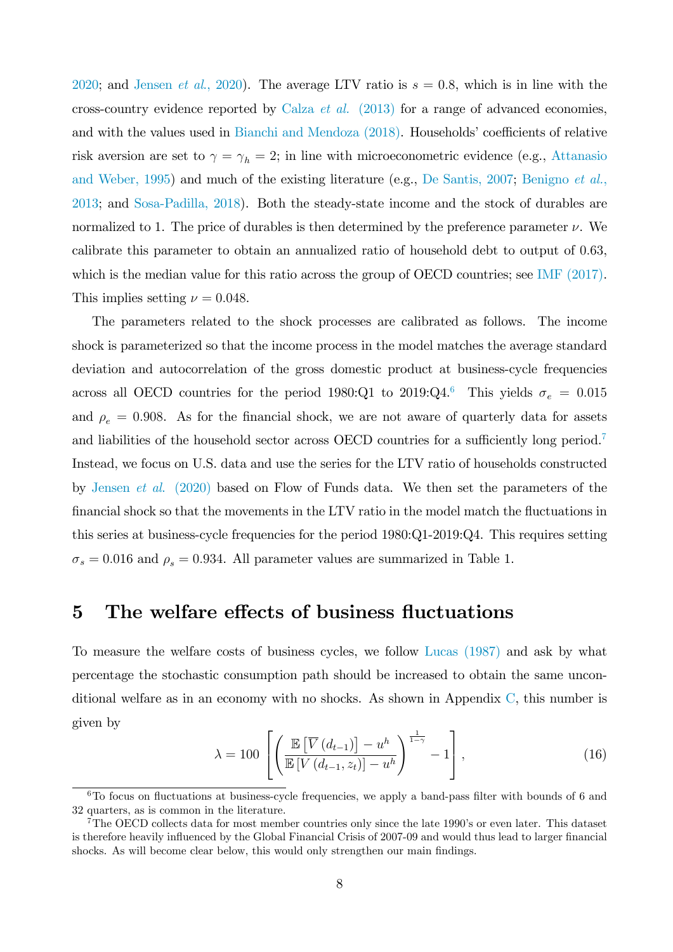[2020;](#page-20-9) and Jensen *et al.*, 2020). The average LTV ratio is  $s = 0.8$ , which is in line with the cross-country evidence reported by Calza et al. [\(2013\)](#page-17-8) for a range of advanced economies, and with the values used in [Bianchi and Mendoza \(2018\).](#page-17-6) Households' coefficients of relative risk aversion are set to  $\gamma = \gamma_h = 2$ ; in line with microeconometric evidence (e.g., [Attanasio](#page-17-9) [and Weber, 1995\)](#page-17-9) and much of the existing literature (e.g., [De Santis, 2007;](#page-18-4) [Benigno](#page-17-7) et al., [2013;](#page-17-7) and [Sosa-Padilla, 2018\)](#page-20-10). Both the steady-state income and the stock of durables are normalized to 1. The price of durables is then determined by the preference parameter  $\nu$ . We calibrate this parameter to obtain an annualized ratio of household debt to output of 0:63, which is the median value for this ratio across the group of OECD countries; see [IMF \(2017\).](#page-18-12) This implies setting  $\nu = 0.048$ .

The parameters related to the shock processes are calibrated as follows. The income shock is parameterized so that the income process in the model matches the average standard deviation and autocorrelation of the gross domestic product at business-cycle frequencies across all OECD countries for the period 1980:Q1 to 2019:Q4.<sup>[6](#page-8-1)</sup> This yields  $\sigma_e = 0.015$ and  $\rho_e = 0.908$ . As for the financial shock, we are not aware of quarterly data for assets and liabilities of the household sector across OECD countries for a sufficiently long period.<sup>[7](#page-8-2)</sup> Instead, we focus on U.S. data and use the series for the LTV ratio of households constructed by Jensen et al[. \(2020\)](#page-18-1) based on Flow of Funds data. We then set the parameters of the financial shock so that the movements in the LTV ratio in the model match the fluctuations in this series at business-cycle frequencies for the period 1980:Q1-2019:Q4. This requires setting  $\sigma_s = 0.016$  and  $\rho_s = 0.934$ . All parameter values are summarized in Table 1.

### <span id="page-8-0"></span>5 The welfare effects of business fluctuations

To measure the welfare costs of business cycles, we follow [Lucas \(1987\)](#page-20-0) and ask by what percentage the stochastic consumption path should be increased to obtain the same unconditional welfare as in an economy with no shocks. As shown in Appendix [C,](#page-6-0) this number is given by

$$
\lambda = 100 \left[ \left( \frac{\mathbb{E}\left[ \overline{V}\left( d_{t-1} \right) \right] - u^h}{\mathbb{E}\left[ V\left( d_{t-1}, z_t \right) \right] - u^h} \right)^{\frac{1}{1-\gamma}} - 1 \right],\tag{16}
$$

<span id="page-8-1"></span> $6T<sub>0</sub>$  focus on fluctuations at business-cycle frequencies, we apply a band-pass filter with bounds of 6 and 32 quarters, as is common in the literature.

<span id="page-8-2"></span><sup>&</sup>lt;sup>7</sup>The OECD collects data for most member countries only since the late 1990's or even later. This dataset is therefore heavily influenced by the Global Financial Crisis of 2007-09 and would thus lead to larger financial shocks. As will become clear below, this would only strengthen our main findings.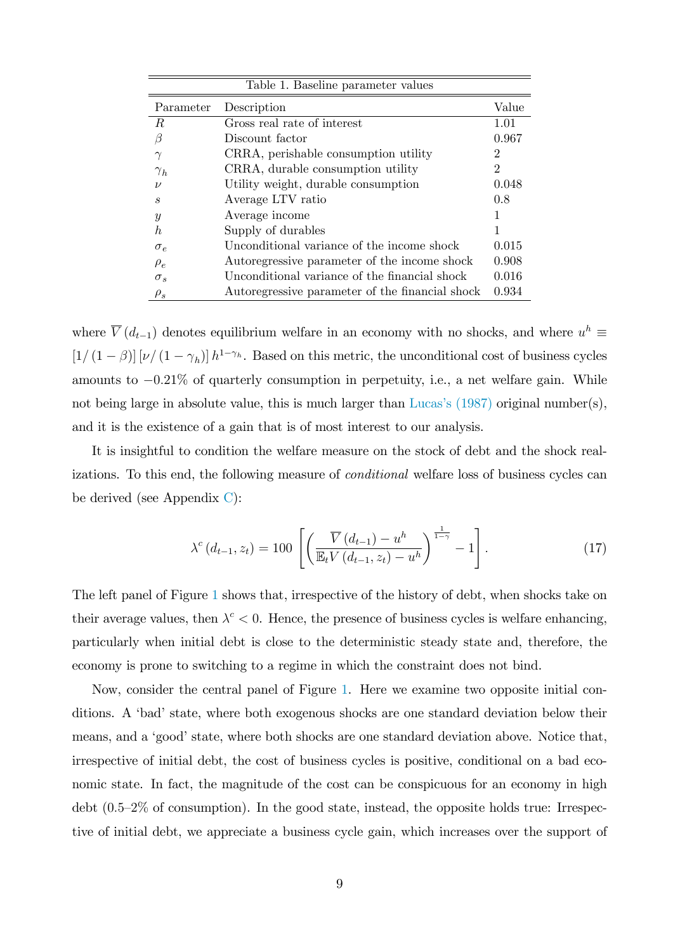| Table 1. Baseline parameter values |                                                 |                |  |
|------------------------------------|-------------------------------------------------|----------------|--|
| Parameter                          | Description                                     | Value          |  |
| R.                                 | Gross real rate of interest                     | 1.01           |  |
| 17                                 | Discount factor                                 | 0.967          |  |
| $\gamma$                           | CRRA, perishable consumption utility            | 2              |  |
| $\gamma_h$                         | CRRA, durable consumption utility               | $\mathfrak{D}$ |  |
| $\mathcal{V}$                      | Utility weight, durable consumption             | 0.048          |  |
| S                                  | Average LTV ratio                               | 0.8            |  |
| $\boldsymbol{y}$                   | Average income                                  |                |  |
| h.                                 | Supply of durables                              |                |  |
| $\sigma_e$                         | Unconditional variance of the income shock      | 0.015          |  |
| $\rho_e$                           | Autoregressive parameter of the income shock    | 0.908          |  |
| $\sigma_s$                         | Unconditional variance of the financial shock   | 0.016          |  |
| $\rho_s$                           | Autoregressive parameter of the financial shock | 0.934          |  |

where  $\overline{V}(d_{t-1})$  denotes equilibrium welfare in an economy with no shocks, and where  $u^h \equiv$  $[1/(1 - \beta)] [\nu/(1 - \gamma_h)] h^{1-\gamma_h}$ . Based on this metric, the unconditional cost of business cycles amounts to  $-0.21\%$  of quarterly consumption in perpetuity, i.e., a net welfare gain. While not being large in absolute value, this is much larger than Lucas's  $(1987)$  original number(s), and it is the existence of a gain that is of most interest to our analysis.

It is insightful to condition the welfare measure on the stock of debt and the shock realizations. To this end, the following measure of *conditional* welfare loss of business cycles can be derived (see Appendix [C\)](#page-6-0):

<span id="page-9-0"></span>
$$
\lambda^{c} (d_{t-1}, z_t) = 100 \left[ \left( \frac{\overline{V} (d_{t-1}) - u^{h}}{\mathbb{E}_{t} V (d_{t-1}, z_t) - u^{h}} \right)^{\frac{1}{1-\gamma}} - 1 \right]. \tag{17}
$$

The left panel of Figure [1](#page-10-0) shows that, irrespective of the history of debt, when shocks take on their average values, then  $\lambda^c < 0$ . Hence, the presence of business cycles is welfare enhancing, particularly when initial debt is close to the deterministic steady state and, therefore, the economy is prone to switching to a regime in which the constraint does not bind.

Now, consider the central panel of Figure [1.](#page-10-0) Here we examine two opposite initial conditions. A 'bad' state, where both exogenous shocks are one standard deviation below their means, and a 'good' state, where both shocks are one standard deviation above. Notice that, irrespective of initial debt, the cost of business cycles is positive, conditional on a bad economic state. In fact, the magnitude of the cost can be conspicuous for an economy in high debt  $(0.5-2\%$  of consumption). In the good state, instead, the opposite holds true: Irrespective of initial debt, we appreciate a business cycle gain, which increases over the support of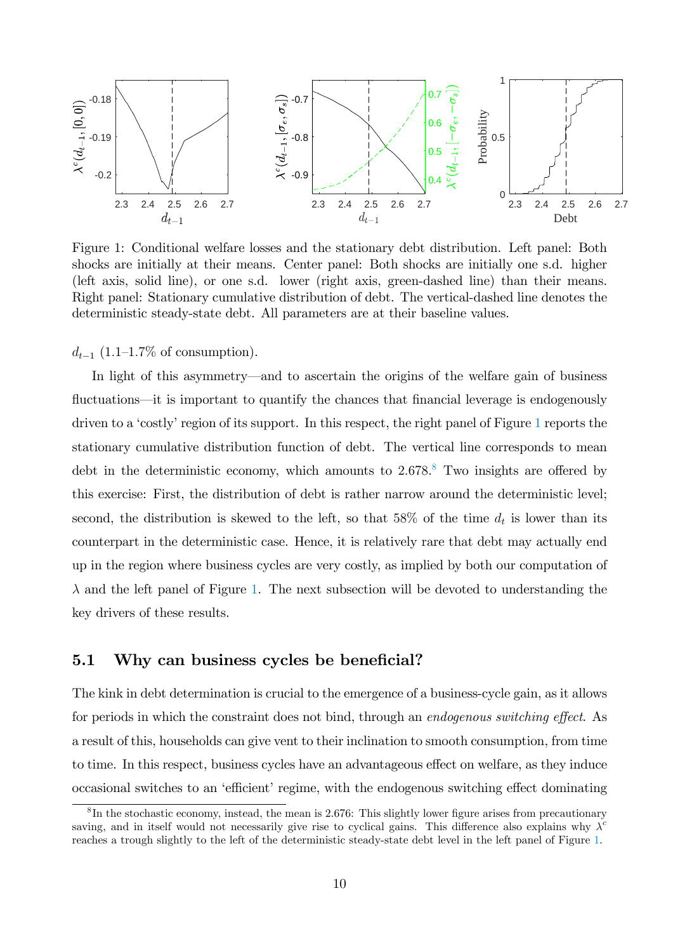

<span id="page-10-0"></span>Figure 1: Conditional welfare losses and the stationary debt distribution. Left panel: Both shocks are initially at their means. Center panel: Both shocks are initially one s.d. higher (left axis, solid line), or one s.d. lower (right axis, green-dashed line) than their means. Right panel: Stationary cumulative distribution of debt. The vertical-dashed line denotes the deterministic steady-state debt. All parameters are at their baseline values.

 $d_{t-1}$  (1.1–1.7% of consumption).

In light of this asymmetry—and to ascertain the origins of the welfare gain of business fluctuations—it is important to quantify the chances that financial leverage is endogenously driven to a 'costly' region of its support. In this respect, the right panel of Figure [1](#page-10-0) reports the stationary cumulative distribution function of debt. The vertical line corresponds to mean debt in the deterministic economy, which amounts to  $2.678$  $2.678$ .<sup>8</sup> Two insights are offered by this exercise: First, the distribution of debt is rather narrow around the deterministic level; second, the distribution is skewed to the left, so that 58% of the time  $d_t$  is lower than its counterpart in the deterministic case. Hence, it is relatively rare that debt may actually end up in the region where business cycles are very costly, as implied by both our computation of  $\lambda$  and the left panel of Figure [1.](#page-10-0) The next subsection will be devoted to understanding the key drivers of these results.

### 5.1 Why can business cycles be beneficial?

The kink in debt determination is crucial to the emergence of a business-cycle gain, as it allows for periods in which the constraint does not bind, through an *endogenous switching effect*. As a result of this, households can give vent to their inclination to smooth consumption, from time to time. In this respect, business cycles have an advantageous effect on welfare, as they induce occasional switches to an 'efficient' regime, with the endogenous switching effect dominating

<span id="page-10-1"></span> ${}^{8}$ In the stochastic economy, instead, the mean is 2.676: This slightly lower figure arises from precautionary saving, and in itself would not necessarily give rise to cyclical gains. This difference also explains why  $\lambda^c$ reaches a trough slightly to the left of the deterministic steady-state debt level in the left panel of Figure [1.](#page-10-0)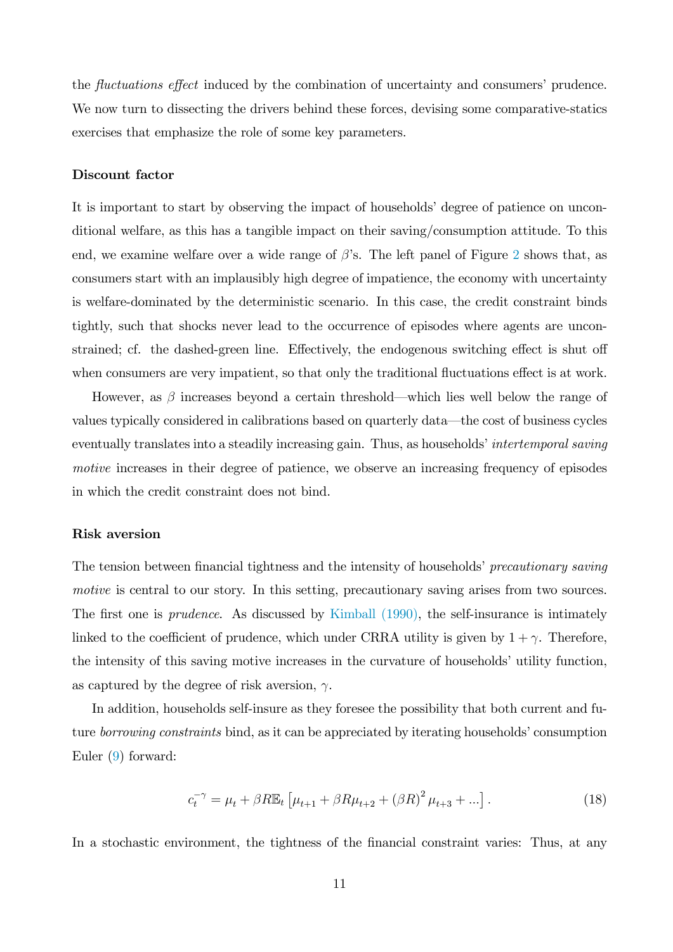the *fluctuations effect* induced by the combination of uncertainty and consumers' prudence. We now turn to dissecting the drivers behind these forces, devising some comparative-statics exercises that emphasize the role of some key parameters.

#### Discount factor

It is important to start by observing the impact of households' degree of patience on unconditional welfare, as this has a tangible impact on their saving/consumption attitude. To this end, we examine welfare over a wide range of  $\beta$ 's. The left panel of Figure [2](#page-12-0) shows that, as consumers start with an implausibly high degree of impatience, the economy with uncertainty is welfare-dominated by the deterministic scenario. In this case, the credit constraint binds tightly, such that shocks never lead to the occurrence of episodes where agents are unconstrained; cf. the dashed-green line. Effectively, the endogenous switching effect is shut off when consumers are very impatient, so that only the traditional fluctuations effect is at work.

However, as  $\beta$  increases beyond a certain threshold—which lies well below the range of values typically considered in calibrations based on quarterly data—the cost of business cycles eventually translates into a steadily increasing gain. Thus, as households intertemporal saving motive increases in their degree of patience, we observe an increasing frequency of episodes in which the credit constraint does not bind.

#### Risk aversion

The tension between financial tightness and the intensity of households' precautionary saving motive is central to our story. In this setting, precautionary saving arises from two sources. The first one is *prudence*. As discussed by Kimball  $(1990)$ , the self-insurance is intimately linked to the coefficient of prudence, which under CRRA utility is given by  $1 + \gamma$ . Therefore, the intensity of this saving motive increases in the curvature of households' utility function, as captured by the degree of risk aversion,  $\gamma$ .

In addition, households self-insure as they foresee the possibility that both current and future *borrowing constraints* bind, as it can be appreciated by iterating households' consumption Euler [\(9\)](#page-6-4) forward:

<span id="page-11-0"></span>
$$
c_t^{-\gamma} = \mu_t + \beta R \mathbb{E}_t \left[ \mu_{t+1} + \beta R \mu_{t+2} + (\beta R)^2 \mu_{t+3} + \ldots \right]. \tag{18}
$$

In a stochastic environment, the tightness of the financial constraint varies: Thus, at any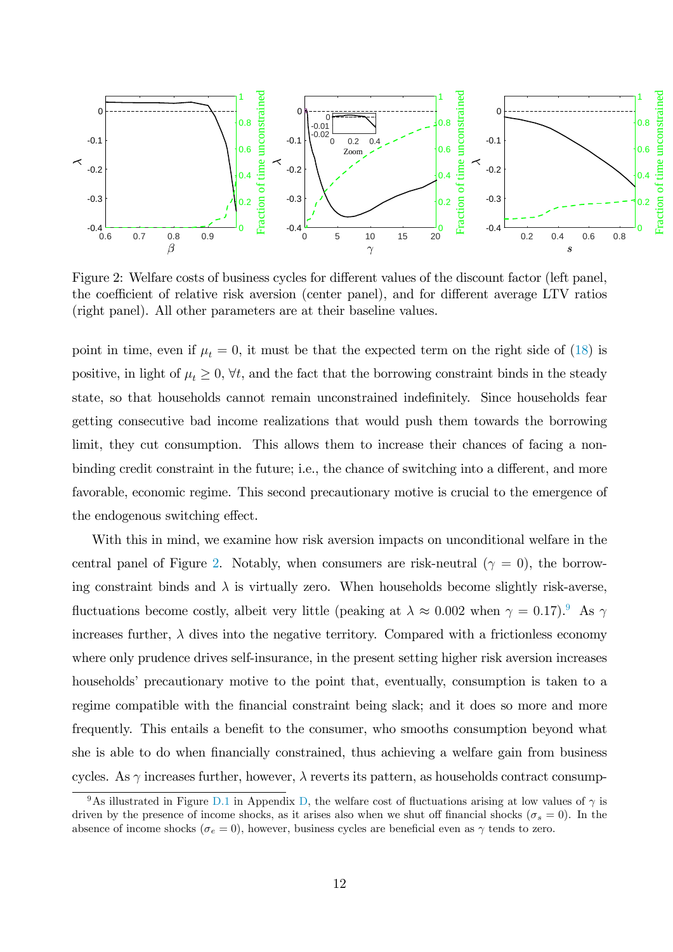

<span id="page-12-0"></span>Figure 2: Welfare costs of business cycles for different values of the discount factor (left panel, the coefficient of relative risk aversion (center panel), and for different average LTV ratios (right panel). All other parameters are at their baseline values.

point in time, even if  $\mu_t = 0$ , it must be that the expected term on the right side of [\(18\)](#page-11-0) is positive, in light of  $\mu_t \geq 0$ ,  $\forall t$ , and the fact that the borrowing constraint binds in the steady state, so that households cannot remain unconstrained indefinitely. Since households fear getting consecutive bad income realizations that would push them towards the borrowing limit, they cut consumption. This allows them to increase their chances of facing a nonbinding credit constraint in the future; i.e., the chance of switching into a different, and more favorable, economic regime. This second precautionary motive is crucial to the emergence of the endogenous switching effect.

With this in mind, we examine how risk aversion impacts on unconditional welfare in the central panel of Figure [2.](#page-12-0) Notably, when consumers are risk-neutral ( $\gamma = 0$ ), the borrowing constraint binds and  $\lambda$  is virtually zero. When households become slightly risk-averse, fluctuations become costly, albeit very little (peaking at  $\lambda \approx 0.002$  when  $\gamma = 0.17$ ). As  $\gamma$ increases further,  $\lambda$  dives into the negative territory. Compared with a frictionless economy where only prudence drives self-insurance, in the present setting higher risk aversion increases households' precautionary motive to the point that, eventually, consumption is taken to a regime compatible with the financial constraint being slack; and it does so more and more frequently. This entails a benefit to the consumer, who smooths consumption beyond what she is able to do when financially constrained, thus achieving a welfare gain from business cycles. As  $\gamma$  increases further, however,  $\lambda$  reverts its pattern, as households contract consump-

<span id="page-12-1"></span><sup>&</sup>lt;sup>9</sup>As illustrated in Figure [D.1](#page-26-0) in Appendix [D,](#page-7-0) the welfare cost of fluctuations arising at low values of  $\gamma$  is driven by the presence of income shocks, as it arises also when we shut off financial shocks ( $\sigma_s = 0$ ). In the absence of income shocks ( $\sigma_e = 0$ ), however, business cycles are beneficial even as  $\gamma$  tends to zero.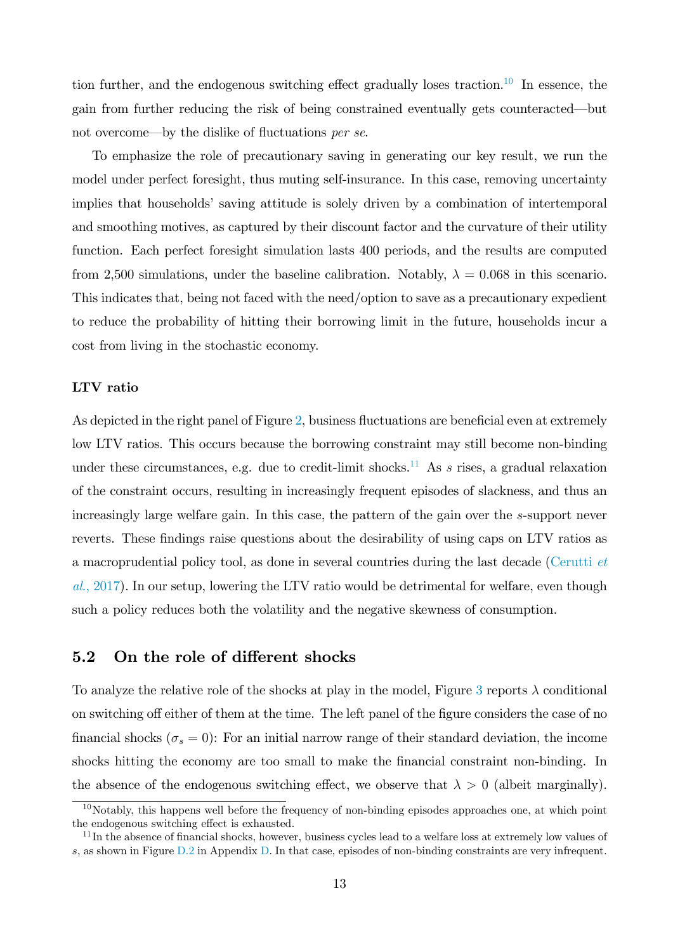tion further, and the endogenous switching effect gradually loses traction.<sup>[10](#page-13-0)</sup> In essence, the gain from further reducing the risk of being constrained eventually gets counteracted—but not overcome—by the dislike of fluctuations per se.

To emphasize the role of precautionary saving in generating our key result, we run the model under perfect foresight, thus muting self-insurance. In this case, removing uncertainty implies that households' saving attitude is solely driven by a combination of intertemporal and smoothing motives, as captured by their discount factor and the curvature of their utility function. Each perfect foresight simulation lasts 400 periods, and the results are computed from 2,500 simulations, under the baseline calibration. Notably,  $\lambda = 0.068$  in this scenario. This indicates that, being not faced with the need/option to save as a precautionary expedient to reduce the probability of hitting their borrowing limit in the future, households incur a cost from living in the stochastic economy.

### LTV ratio

As depicted in the right panel of Figure [2,](#page-12-0) business fluctuations are beneficial even at extremely low LTV ratios. This occurs because the borrowing constraint may still become non-binding under these circumstances, e.g. due to credit-limit shocks.<sup>[11](#page-13-1)</sup> As s rises, a gradual relaxation of the constraint occurs, resulting in increasingly frequent episodes of slackness, and thus an increasingly large welfare gain. In this case, the pattern of the gain over the s-support never reverts. These findings raise questions about the desirability of using caps on LTV ratios as a macroprudential policy tool, as done in several countries during the last decade [\(Cerutti](#page-17-10) et al[., 2017\)](#page-17-10). In our setup, lowering the LTV ratio would be detrimental for welfare, even though such a policy reduces both the volatility and the negative skewness of consumption.

### 5.2 On the role of different shocks

To analyze the relative role of the shocks at play in the model, Figure [3](#page-14-0) reports  $\lambda$  conditional on switching off either of them at the time. The left panel of the figure considers the case of no financial shocks ( $\sigma_s = 0$ ): For an initial narrow range of their standard deviation, the income shocks hitting the economy are too small to make the financial constraint non-binding. In the absence of the endogenous switching effect, we observe that  $\lambda > 0$  (albeit marginally).

<span id="page-13-0"></span> $10$ Notably, this happens well before the frequency of non-binding episodes approaches one, at which point the endogenous switching effect is exhausted.

<span id="page-13-1"></span> $11$ In the absence of financial shocks, however, business cycles lead to a welfare loss at extremely low values of s, as shown in Figure [D.2](#page-26-1) in Appendix [D.](#page-7-0) In that case, episodes of non-binding constraints are very infrequent.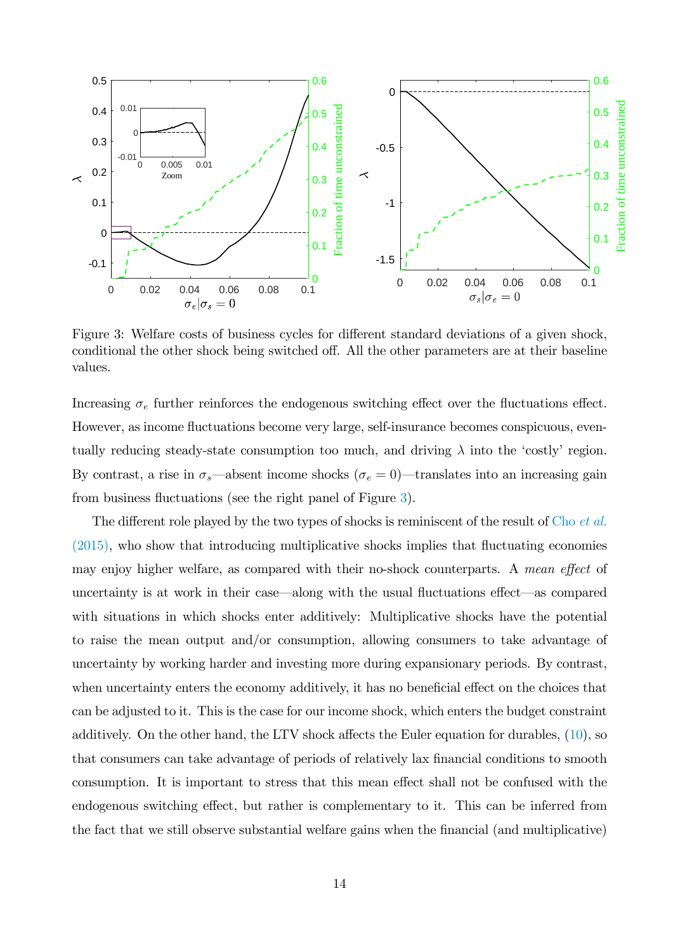

<span id="page-14-0"></span>Figure 3: Welfare costs of business cycles for different standard deviations of a given shock, conditional the other shock being switched off. All the other parameters are at their baseline values.

Increasing  $\sigma_e$  further reinforces the endogenous switching effect over the fluctuations effect. However, as income fluctuations become very large, self-insurance becomes conspicuous, eventually reducing steady-state consumption too much, and driving  $\lambda$  into the 'costly' region. By contrast, a rise in  $\sigma_s$ —absent income shocks ( $\sigma_e = 0$ )—translates into an increasing gain from business fluctuations (see the right panel of Figure [3\)](#page-14-0).

The different role played by the two types of shocks is reminiscent of the result of Cho *[et al.](#page-18-5)*  $(2015)$ , who show that introducing multiplicative shocks implies that fluctuating economies may enjoy higher welfare, as compared with their no-shock counterparts. A mean effect of uncertainty is at work in their case—along with the usual fluctuations effect—as compared with situations in which shocks enter additively: Multiplicative shocks have the potential to raise the mean output and/or consumption, allowing consumers to take advantage of uncertainty by working harder and investing more during expansionary periods. By contrast, when uncertainty enters the economy additively, it has no beneficial effect on the choices that can be adjusted to it. This is the case for our income shock, which enters the budget constraint additively. On the other hand, the LTV shock affects the Euler equation for durables,  $(10)$ , so that consumers can take advantage of periods of relatively lax financial conditions to smooth consumption. It is important to stress that this mean effect shall not be confused with the endogenous switching effect, but rather is complementary to it. This can be inferred from the fact that we still observe substantial welfare gains when the Önancial (and multiplicative)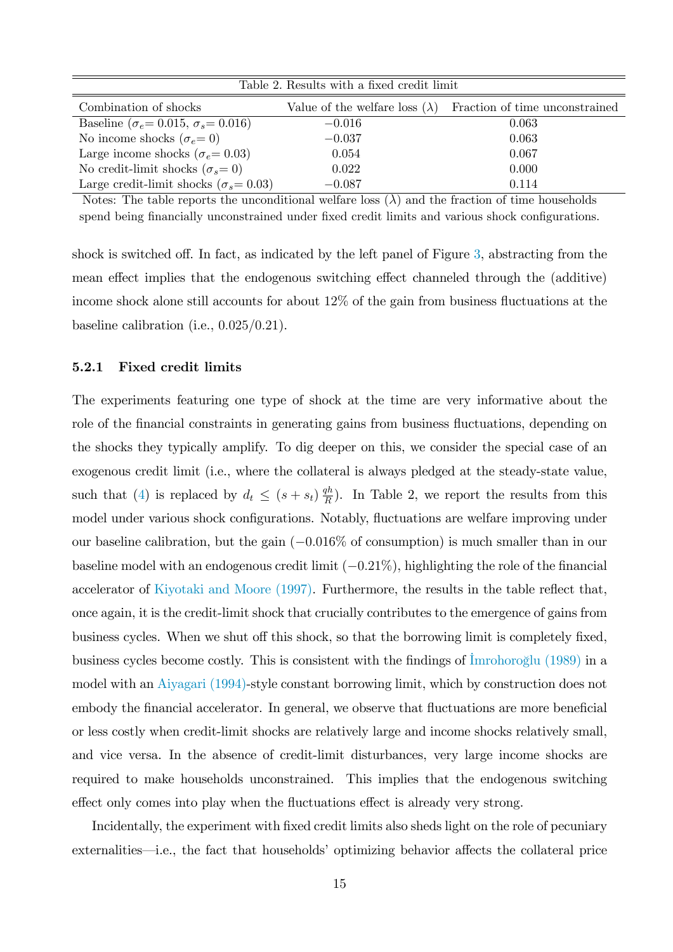| Table 2. Results with a fixed credit limit         |                                       |                                |  |  |
|----------------------------------------------------|---------------------------------------|--------------------------------|--|--|
| Combination of shocks                              | Value of the welfare loss $(\lambda)$ | Fraction of time unconstrained |  |  |
| Baseline ( $\sigma_e$ = 0.015, $\sigma_s$ = 0.016) | $-0.016$                              | 0.063                          |  |  |
| No income shocks ( $\sigma_e = 0$ )                | $-0.037$                              | 0.063                          |  |  |
| Large income shocks ( $\sigma_e$ = 0.03)           | 0.054                                 | 0.067                          |  |  |
| No credit-limit shocks $(\sigma_s = 0)$            | 0.022                                 | 0.000                          |  |  |
| Large credit-limit shocks ( $\sigma_s = 0.03$ )    | $-0.087$                              | 0.114                          |  |  |

Notes: The table reports the unconditional welfare loss  $(\lambda)$  and the fraction of time households spend being financially unconstrained under fixed credit limits and various shock configurations.

shock is switched off. In fact, as indicated by the left panel of Figure  $3$ , abstracting from the mean effect implies that the endogenous switching effect channeled through the (additive) income shock alone still accounts for about  $12\%$  of the gain from business fluctuations at the baseline calibration (i.e.,  $0.025/0.21$ ).

### 5.2.1 Fixed credit limits

The experiments featuring one type of shock at the time are very informative about the role of the financial constraints in generating gains from business fluctuations, depending on the shocks they typically amplify. To dig deeper on this, we consider the special case of an exogenous credit limit (i.e., where the collateral is always pledged at the steady-state value, such that [\(4\)](#page-5-0) is replaced by  $d_t \leq (s + s_t) \frac{qh}{R}$  $\frac{qn}{R}$ ). In Table 2, we report the results from this model under various shock configurations. Notably, fluctuations are welfare improving under our baseline calibration, but the gain  $(-0.016\%$  of consumption) is much smaller than in our baseline model with an endogenous credit limit  $(-0.21\%)$ , highlighting the role of the financial accelerator of Kiyotaki and Moore  $(1997)$ . Furthermore, the results in the table reflect that, once again, it is the credit-limit shock that crucially contributes to the emergence of gains from business cycles. When we shut off this shock, so that the borrowing limit is completely fixed, business cycles become costly. This is consistent with the findings of  $\overline{\text{Imrohoro}}$  (1989) in a model with an [Aiyagari \(1994\)-](#page-17-11)style constant borrowing limit, which by construction does not embody the financial accelerator. In general, we observe that fluctuations are more beneficial or less costly when credit-limit shocks are relatively large and income shocks relatively small, and vice versa. In the absence of credit-limit disturbances, very large income shocks are required to make households unconstrained. This implies that the endogenous switching effect only comes into play when the fluctuations effect is already very strong.

Incidentally, the experiment with fixed credit limits also sheds light on the role of pecuniary externalities—i.e., the fact that households' optimizing behavior affects the collateral price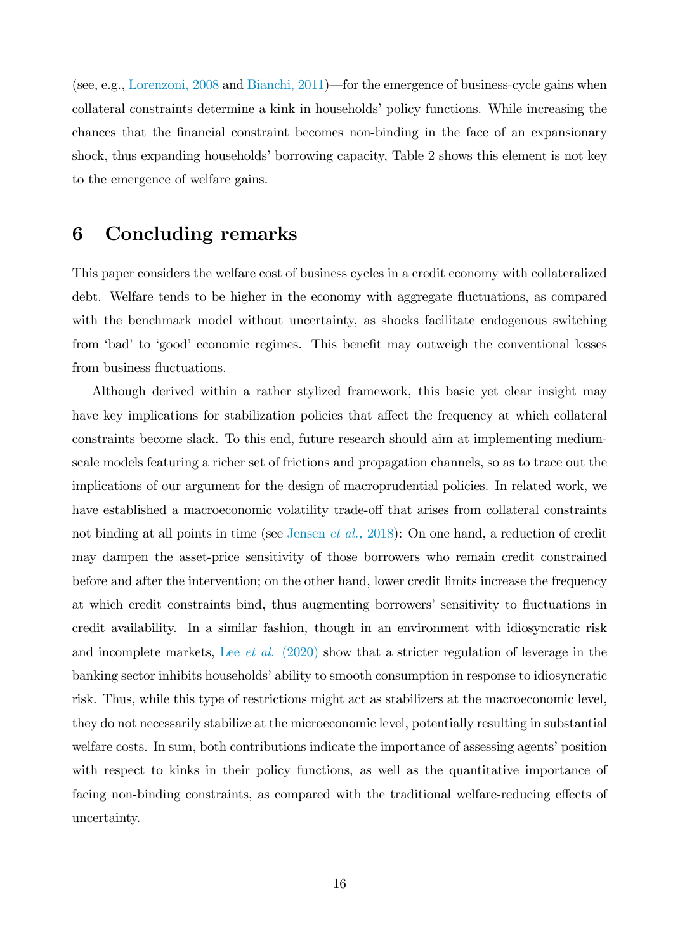(see, e.g., [Lorenzoni, 2008](#page-19-11) and [Bianchi, 2011\)](#page-17-4)—for the emergence of business-cycle gains when collateral constraints determine a kink in households' policy functions. While increasing the chances that the Önancial constraint becomes non-binding in the face of an expansionary shock, thus expanding households' borrowing capacity, Table 2 shows this element is not key to the emergence of welfare gains.

### <span id="page-16-0"></span>6 Concluding remarks

This paper considers the welfare cost of business cycles in a credit economy with collateralized debt. Welfare tends to be higher in the economy with aggregate fluctuations, as compared with the benchmark model without uncertainty, as shocks facilitate endogenous switching from 'bad' to 'good' economic regimes. This benefit may outweigh the conventional losses from business fluctuations.

Although derived within a rather stylized framework, this basic yet clear insight may have key implications for stabilization policies that affect the frequency at which collateral constraints become slack. To this end, future research should aim at implementing mediumscale models featuring a richer set of frictions and propagation channels, so as to trace out the implications of our argument for the design of macroprudential policies. In related work, we have established a macroeconomic volatility trade-off that arises from collateral constraints not binding at all points in time (see [Jensen](#page-18-8) *et al.*, 2018): On one hand, a reduction of credit may dampen the asset-price sensitivity of those borrowers who remain credit constrained before and after the intervention; on the other hand, lower credit limits increase the frequency at which credit constraints bind, thus augmenting borrowers' sensitivity to fluctuations in credit availability. In a similar fashion, though in an environment with idiosyncratic risk and incomplete markets, Lee et al. [\(2020\)](#page-19-4) show that a stricter regulation of leverage in the banking sector inhibits households' ability to smooth consumption in response to idiosyncratic risk. Thus, while this type of restrictions might act as stabilizers at the macroeconomic level, they do not necessarily stabilize at the microeconomic level, potentially resulting in substantial welfare costs. In sum, both contributions indicate the importance of assessing agents' position with respect to kinks in their policy functions, as well as the quantitative importance of facing non-binding constraints, as compared with the traditional welfare-reducing effects of uncertainty.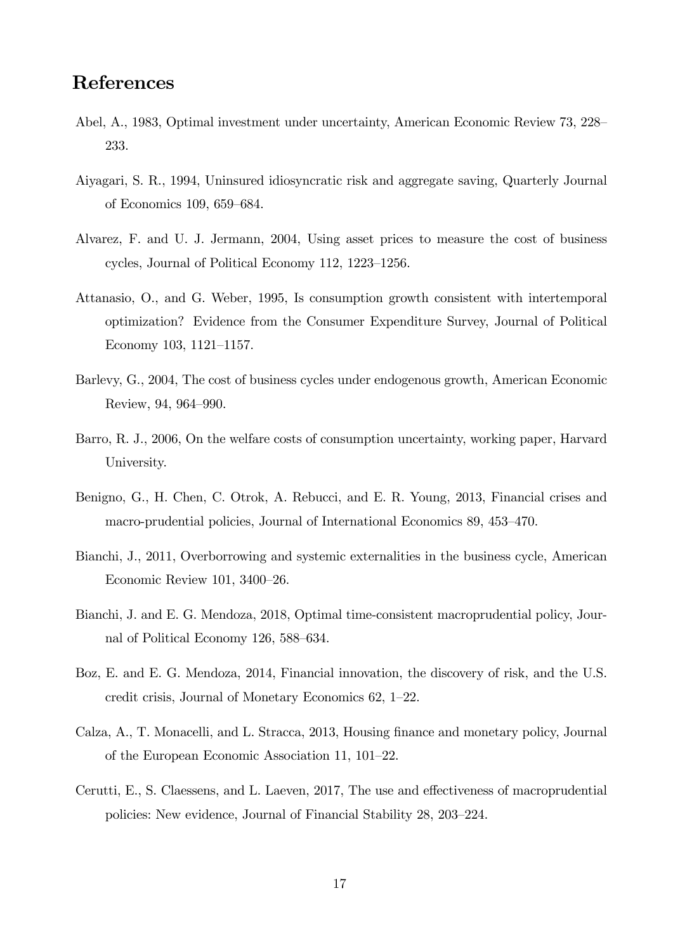## References

- <span id="page-17-3"></span>Abel, A., 1983, Optimal investment under uncertainty, American Economic Review 73, 228 233.
- <span id="page-17-11"></span>Aiyagari, S. R., 1994, Uninsured idiosyncratic risk and aggregate saving, Quarterly Journal of Economics 109, 659–684.
- <span id="page-17-0"></span>Alvarez, F. and U. J. Jermann, 2004, Using asset prices to measure the cost of business cycles, Journal of Political Economy 112,  $1223-1256$ .
- <span id="page-17-9"></span>Attanasio, O., and G. Weber, 1995, Is consumption growth consistent with intertemporal optimization? Evidence from the Consumer Expenditure Survey, Journal of Political Economy 103, 1121-1157.
- <span id="page-17-1"></span>Barlevy, G., 2004, The cost of business cycles under endogenous growth, American Economic Review, 94, 964-990.
- <span id="page-17-2"></span>Barro, R. J., 2006, On the welfare costs of consumption uncertainty, working paper, Harvard University.
- <span id="page-17-7"></span>Benigno, G., H. Chen, C. Otrok, A. Rebucci, and E. R. Young, 2013, Financial crises and macro-prudential policies, Journal of International Economics 89, 453–470.
- <span id="page-17-4"></span>Bianchi, J., 2011, Overborrowing and systemic externalities in the business cycle, American Economic Review 101,  $3400-26$ .
- <span id="page-17-6"></span>Bianchi, J. and E. G. Mendoza, 2018, Optimal time-consistent macroprudential policy, Journal of Political Economy 126, 588–634.
- <span id="page-17-5"></span>Boz, E. and E. G. Mendoza, 2014, Financial innovation, the discovery of risk, and the U.S. credit crisis, Journal of Monetary Economics  $62$ ,  $1-22$ .
- <span id="page-17-8"></span>Calza, A., T. Monacelli, and L. Stracca, 2013, Housing finance and monetary policy, Journal of the European Economic Association 11,  $101-22$ .
- <span id="page-17-10"></span>Cerutti, E., S. Claessens, and L. Laeven, 2017, The use and effectiveness of macroprudential policies: New evidence, Journal of Financial Stability 28, 203–224.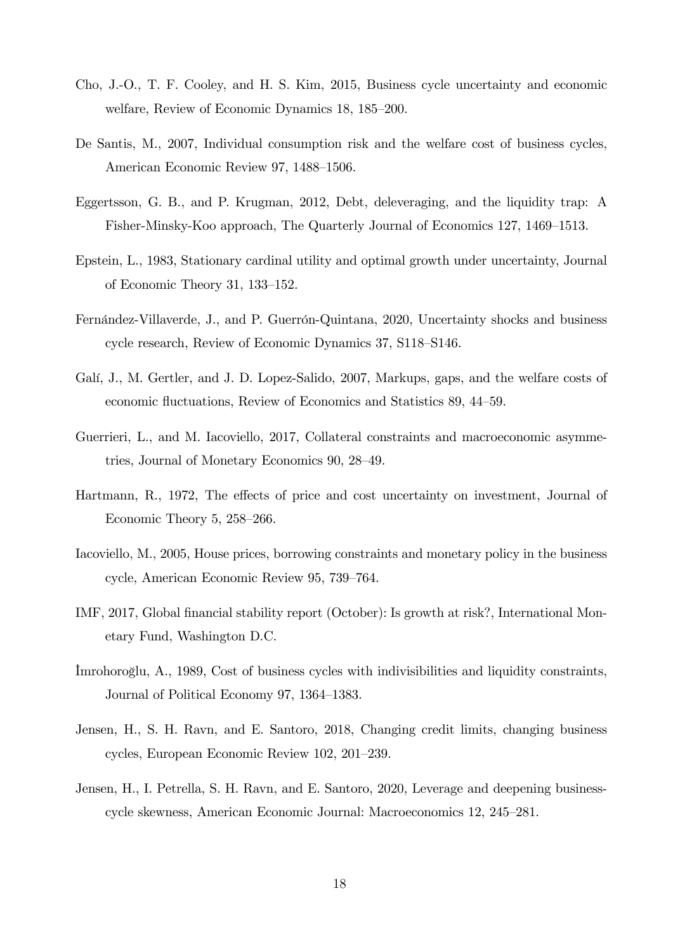- <span id="page-18-5"></span>Cho, J.-O., T. F. Cooley, and H. S. Kim, 2015, Business cycle uncertainty and economic welfare, Review of Economic Dynamics 18, 185–200.
- <span id="page-18-4"></span>De Santis, M., 2007, Individual consumption risk and the welfare cost of business cycles, American Economic Review 97, 1488–1506.
- <span id="page-18-10"></span>Eggertsson, G. B., and P. Krugman, 2012, Debt, deleveraging, and the liquidity trap: A Fisher-Minsky-Koo approach, The Quarterly Journal of Economics 127, 1469–1513.
- <span id="page-18-11"></span>Epstein, L., 1983, Stationary cardinal utility and optimal growth under uncertainty, Journal of Economic Theory 31,  $133-152$ .
- <span id="page-18-6"></span>Fernández-Villaverde, J., and P. Guerrón-Quintana, 2020, Uncertainty shocks and business cycle research, Review of Economic Dynamics 37, S118-S146.
- <span id="page-18-3"></span>Galí, J., M. Gertler, and J. D. Lopez-Salido, 2007, Markups, gaps, and the welfare costs of economic fluctuations, Review of Economics and Statistics 89, 44–59.
- <span id="page-18-0"></span>Guerrieri, L., and M. Iacoviello, 2017, Collateral constraints and macroeconomic asymmetries, Journal of Monetary Economics 90, 28–49.
- <span id="page-18-7"></span>Hartmann, R., 1972, The effects of price and cost uncertainty on investment, Journal of Economic Theory 5,  $258-266$ .
- <span id="page-18-9"></span>Iacoviello, M., 2005, House prices, borrowing constraints and monetary policy in the business cycle, American Economic Review 95, 739–764.
- <span id="page-18-12"></span>IMF, 2017, Global financial stability report (October): Is growth at risk?, International Monetary Fund, Washington D.C.
- <span id="page-18-2"></span>Imrohoro glu, A., 1989, Cost of business cycles with indivisibilities and liquidity constraints, Journal of Political Economy 97, 1364–1383.
- <span id="page-18-8"></span>Jensen, H., S. H. Ravn, and E. Santoro, 2018, Changing credit limits, changing business cycles, European Economic Review 102, 201–239.
- <span id="page-18-1"></span>Jensen, H., I. Petrella, S. H. Ravn, and E. Santoro, 2020, Leverage and deepening businesscycle skewness, American Economic Journal: Macroeconomics 12, 245–281.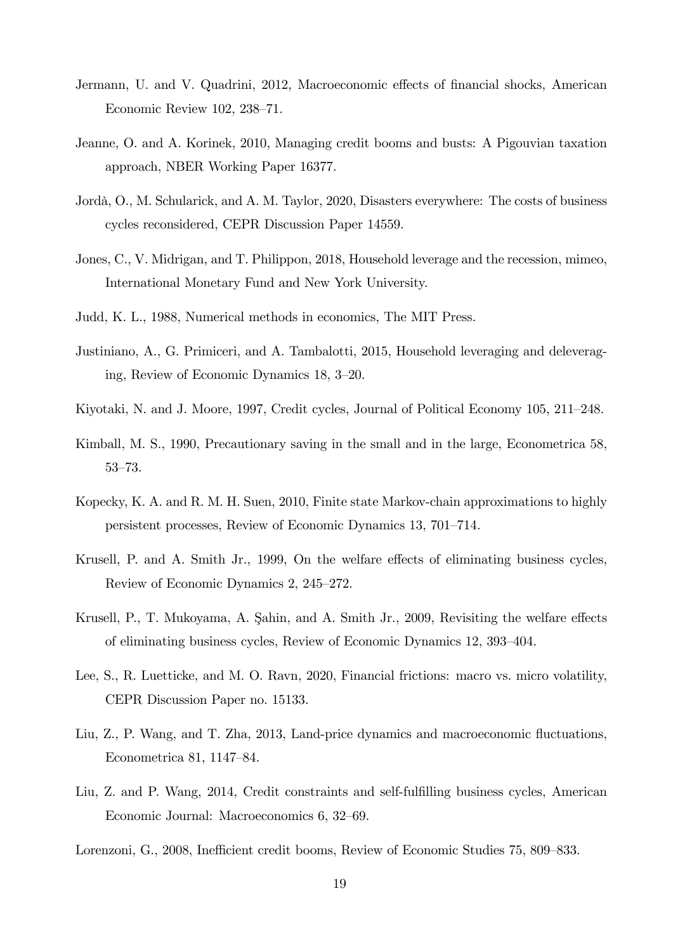- <span id="page-19-9"></span>Jermann, U. and V. Quadrini, 2012, Macroeconomic effects of financial shocks, American Economic Review 102,  $238-71$ .
- <span id="page-19-5"></span>Jeanne, O. and A. Korinek, 2010, Managing credit booms and busts: A Pigouvian taxation approach, NBER Working Paper 16377.
- <span id="page-19-3"></span>Jordà, O., M. Schularick, and A. M. Taylor, 2020, Disasters everywhere: The costs of business cycles reconsidered, CEPR Discussion Paper 14559.
- <span id="page-19-10"></span>Jones, C., V. Midrigan, and T. Philippon, 2018, Household leverage and the recession, mimeo, International Monetary Fund and New York University.
- <span id="page-19-12"></span><span id="page-19-8"></span>Judd, K. L., 1988, Numerical methods in economics, The MIT Press.
- Justiniano, A., G. Primiceri, and A. Tambalotti, 2015, Household leveraging and deleveraging, Review of Economic Dynamics  $18, 3-20$ .
- <span id="page-19-2"></span><span id="page-19-0"></span>Kiyotaki, N. and J. Moore, 1997, Credit cycles, Journal of Political Economy 105, 211–248.
- Kimball, M. S., 1990, Precautionary saving in the small and in the large, Econometrica 58, 53-73.
- <span id="page-19-13"></span>Kopecky, K. A. and R. M. H. Suen, 2010, Finite state Markov-chain approximations to highly persistent processes, Review of Economic Dynamics 13, 701–714.
- <span id="page-19-1"></span>Krusell, P. and A. Smith Jr., 1999, On the welfare effects of eliminating business cycles, Review of Economic Dynamics 2, 245–272.
- Krusell, P., T. Mukoyama, A. Şahin, and A. Smith Jr., 2009, Revisiting the welfare effects of eliminating business cycles, Review of Economic Dynamics 12, 393–404.
- <span id="page-19-4"></span>Lee, S., R. Luetticke, and M. O. Ravn, 2020, Financial frictions: macro vs. micro volatility, CEPR Discussion Paper no. 15133.
- <span id="page-19-6"></span>Liu, Z., P. Wang, and T. Zha, 2013, Land-price dynamics and macroeconomic fluctuations, Econometrica 81, 1147–84.
- <span id="page-19-7"></span>Liu, Z. and P. Wang, 2014, Credit constraints and self-fulfilling business cycles, American Economic Journal: Macroeconomics 6, 32–69.
- <span id="page-19-11"></span>Lorenzoni, G., 2008, Inefficient credit booms, Review of Economic Studies 75, 809–833.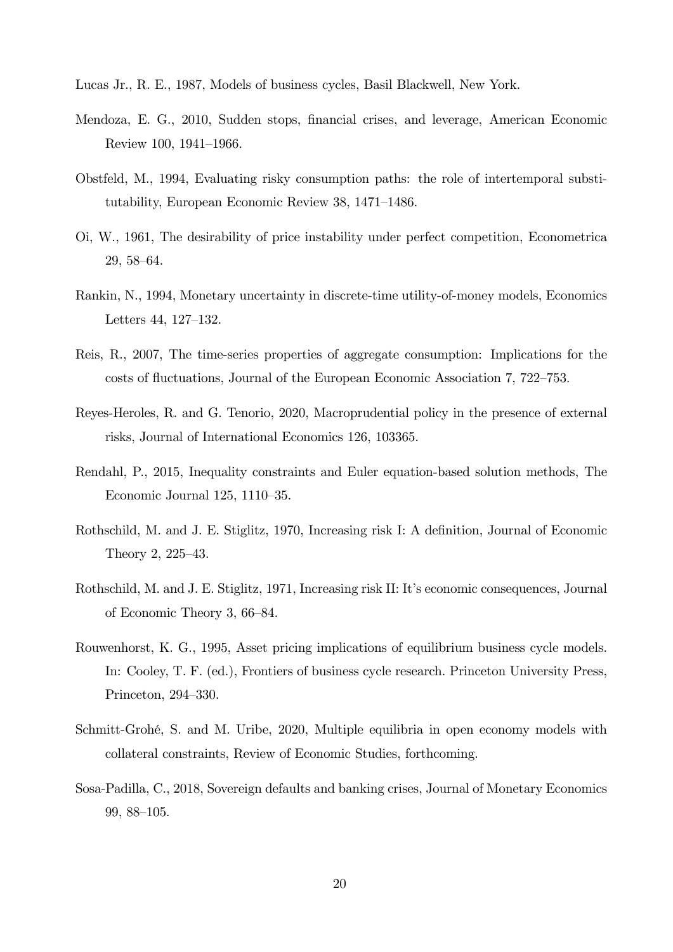<span id="page-20-5"></span><span id="page-20-0"></span>Lucas Jr., R. E., 1987, Models of business cycles, Basil Blackwell, New York.

- Mendoza, E. G., 2010, Sudden stops, Önancial crises, and leverage, American Economic Review 100, 1941-1966.
- <span id="page-20-2"></span>Obstfeld, M., 1994, Evaluating risky consumption paths: the role of intertemporal substitutability, European Economic Review  $38$ ,  $1471-1486$ .
- <span id="page-20-3"></span>Oi, W., 1961, The desirability of price instability under perfect competition, Econometrica 29, 58-64.
- <span id="page-20-8"></span>Rankin, N., 1994, Monetary uncertainty in discrete-time utility-of-money models, Economics Letters  $44, 127-132$ .
- <span id="page-20-1"></span>Reis, R., 2007, The time-series properties of aggregate consumption: Implications for the costs of fluctuations, Journal of the European Economic Association 7, 722–753.
- <span id="page-20-9"></span>Reyes-Heroles, R. and G. Tenorio, 2020, Macroprudential policy in the presence of external risks, Journal of International Economics 126, 103365.
- <span id="page-20-11"></span>Rendahl, P., 2015, Inequality constraints and Euler equation-based solution methods, The Economic Journal  $125$ ,  $1110-35$ .
- <span id="page-20-6"></span>Rothschild, M. and J. E. Stiglitz, 1970, Increasing risk I: A definition, Journal of Economic Theory 2,  $225-43$ .
- <span id="page-20-7"></span>Rothschild, M. and J. E. Stiglitz, 1971, Increasing risk II: It's economic consequences, Journal of Economic Theory 3,  $66-84$ .
- <span id="page-20-12"></span>Rouwenhorst, K. G., 1995, Asset pricing implications of equilibrium business cycle models. In: Cooley, T. F. (ed.), Frontiers of business cycle research. Princeton University Press, Princeton, 294–330.
- <span id="page-20-4"></span>Schmitt-Grohé, S. and M. Uribe, 2020, Multiple equilibria in open economy models with collateral constraints, Review of Economic Studies, forthcoming.
- <span id="page-20-10"></span>Sosa-Padilla, C., 2018, Sovereign defaults and banking crises, Journal of Monetary Economics 99, 88–105.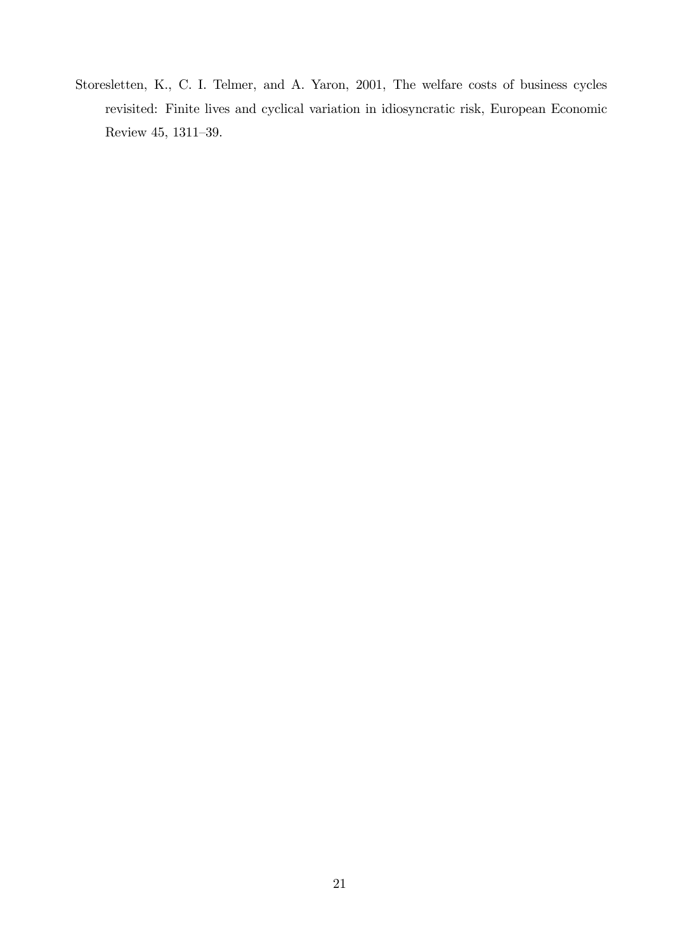<span id="page-21-0"></span>Storesletten, K., C. I. Telmer, and A. Yaron, 2001, The welfare costs of business cycles revisited: Finite lives and cyclical variation in idiosyncratic risk, European Economic Review 45, 1311-39.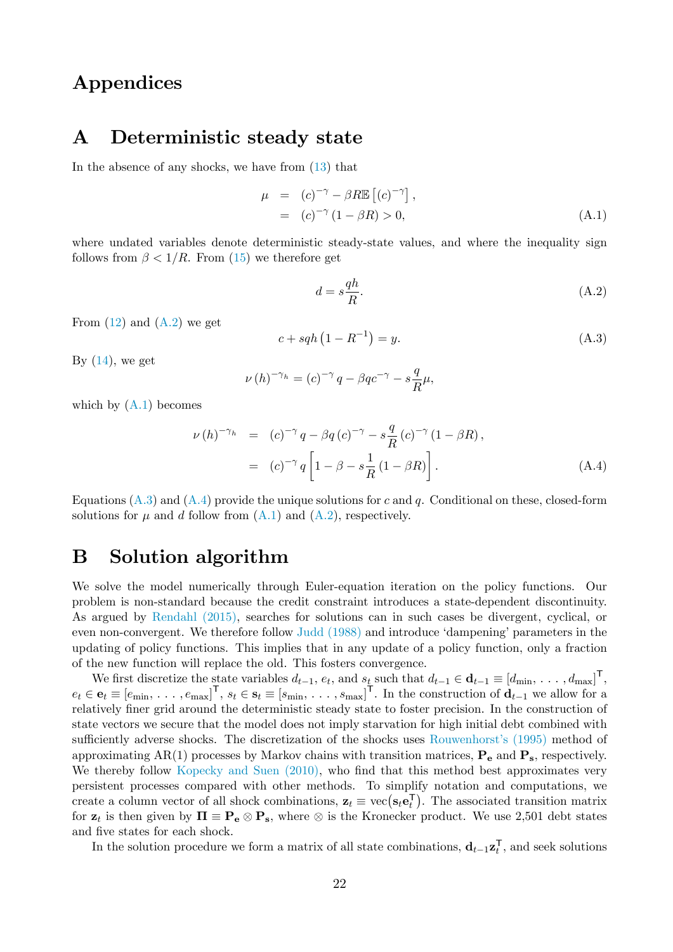## Appendices

### A Deterministic steady state

In the absence of any shocks, we have from [\(13\)](#page-6-7) that

<span id="page-22-1"></span>
$$
\mu = (c)^{-\gamma} - \beta R \mathbb{E} \left[ (c)^{-\gamma} \right],
$$
  
= 
$$
(c)^{-\gamma} (1 - \beta R) > 0,
$$
 (A.1)

where undated variables denote deterministic steady-state values, and where the inequality sign follows from  $\beta < 1/R$ . From [\(15\)](#page-6-5) we therefore get

<span id="page-22-0"></span>
$$
d = s\frac{qh}{R}.\tag{A.2}
$$

From  $(12)$  and  $(A.2)$  we get

<span id="page-22-2"></span>
$$
c + s q h \left( 1 - R^{-1} \right) = y. \tag{A.3}
$$

By  $(14)$ , we get

$$
\nu(h)^{-\gamma_h} = (c)^{-\gamma} q - \beta q c^{-\gamma} - s \frac{q}{R} \mu,
$$

which by  $(A.1)$  becomes

<span id="page-22-3"></span>
$$
\nu(h)^{-\gamma_h} = (c)^{-\gamma} q - \beta q (c)^{-\gamma} - s \frac{q}{R} (c)^{-\gamma} (1 - \beta R),
$$
  
=  $(c)^{-\gamma} q \left[ 1 - \beta - s \frac{1}{R} (1 - \beta R) \right].$  (A.4)

Equations [\(A.3\)](#page-22-2) and [\(A.4\)](#page-22-3) provide the unique solutions for c and q. Conditional on these, closed-form solutions for  $\mu$  and d follow from  $(A.1)$  and  $(A.2)$ , respectively.

### B Solution algorithm

We solve the model numerically through Euler-equation iteration on the policy functions. Our problem is non-standard because the credit constraint introduces a state-dependent discontinuity. As argued by [Rendahl \(2015\),](#page-20-11) searches for solutions can in such cases be divergent, cyclical, or even non-convergent. We therefore follow [Judd \(1988\)](#page-19-12) and introduce 'dampening' parameters in the updating of policy functions. This implies that in any update of a policy function, only a fraction of the new function will replace the old. This fosters convergence.

We first discretize the state variables  $d_{t-1}$ ,  $e_t$ , and  $s_t$  such that  $d_{t-1} \in \mathbf{d}_{t-1} \equiv [d_{\min}, \ldots, d_{\max}]^{\mathsf{T}}$ ,  $e_t \in \mathbf{e}_t \equiv [e_{\min}, \ldots, e_{\max}]^{\mathsf{T}}, s_t \in \mathbf{s}_t \equiv [s_{\min}, \ldots, s_{\max}]^{\mathsf{T}}$ . In the construction of  $\mathbf{d}_{t-1}$  we allow for a relatively finer grid around the deterministic steady state to foster precision. In the construction of state vectors we secure that the model does not imply starvation for high initial debt combined with sufficiently adverse shocks. The discretization of the shocks uses Rouwenhorst's (1995) method of approximating AR(1) processes by Markov chains with transition matrices,  $P_e$  and  $P_s$ , respectively. We thereby follow [Kopecky and Suen \(2010\),](#page-19-13) who find that this method best approximates very persistent processes compared with other methods. To simplify notation and computations, we create a column vector of all shock combinations,  $\mathbf{z}_t \equiv \text{vec}(\mathbf{s}_t \mathbf{e}_t^{\mathsf{T}})$ . The associated transition matrix for  $z_t$  is then given by  $\Pi \equiv \mathbf{P_e} \otimes \mathbf{P_s}$ , where  $\otimes$  is the Kronecker product. We use 2,501 debt states and five states for each shock.

In the solution procedure we form a matrix of all state combinations,  $\mathbf{d}_{t-1} \mathbf{z}_t^{\mathsf{T}}$ , and seek solutions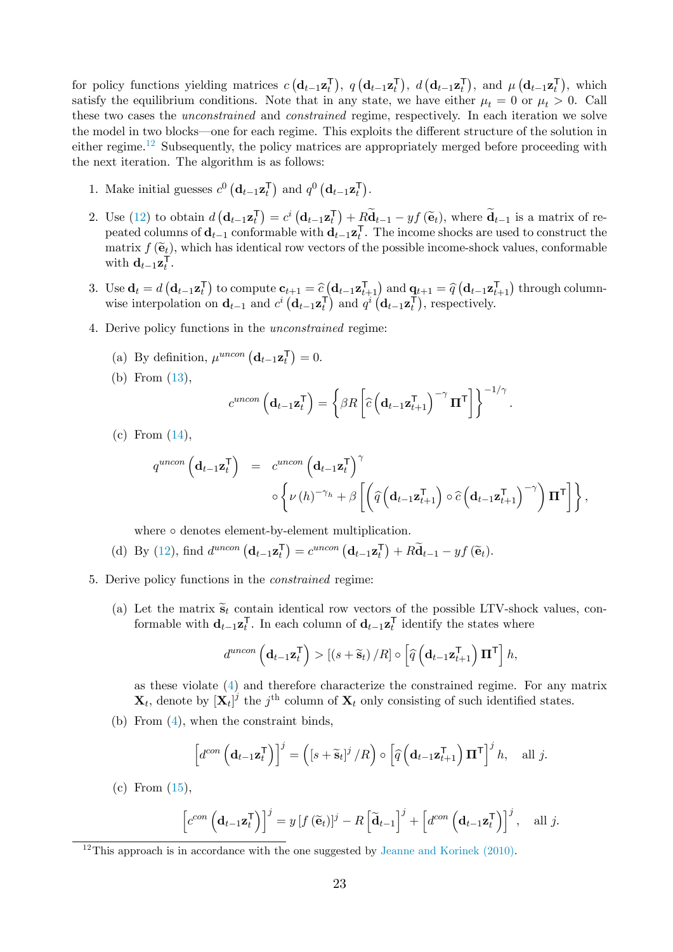for policy functions yielding matrices  $c(\mathbf{d}_{t-1}\mathbf{z}_t^{\mathsf{T}}), q(\mathbf{d}_{t-1}\mathbf{z}_t^{\mathsf{T}}), d(\mathbf{d}_{t-1}\mathbf{z}_t^{\mathsf{T}}),$  and  $\mu(\mathbf{d}_{t-1}\mathbf{z}_t^{\mathsf{T}})$ , which satisfy the equilibrium conditions. Note that in any state, we have either  $\mu_t = 0$  or  $\mu_t > 0$ . Call these two cases the unconstrained and constrained regime, respectively. In each iteration we solve the model in two blocks—one for each regime. This exploits the different structure of the solution in either regime.<sup>[12](#page-23-0)</sup> Subsequently, the policy matrices are appropriately merged before proceeding with the next iteration. The algorithm is as follows:

- 1. Make initial guesses  $c^0 \left( \mathbf{d}_{t-1} \mathbf{z}_t^{\mathsf{T}} \right)$  and  $q^0 \left( \mathbf{d}_{t-1} \mathbf{z}_t^{\mathsf{T}} \right)$ .
- 2. Use [\(12\)](#page-6-6) to obtain  $d\left(\mathbf{d}_{t-1}\mathbf{z}_{t}^{\mathsf{T}}\right)=c^{i}\left(\mathbf{d}_{t-1}\mathbf{z}_{t}^{\mathsf{T}}\right)+R\widetilde{\mathbf{d}}_{t-1}-y f\left(\widetilde{\mathbf{e}}_{t}\right)$ , where  $\widetilde{\mathbf{d}}_{t-1}$  is a matrix of repeated columns of  $\mathbf{d}_{t-1}$  conformable with  $\mathbf{d}_{t-1} \mathbf{z}_t^{\mathsf{T}}$ . The income shocks are used to construct the matrix  $f(\tilde{\mathbf{e}}_t)$ , which has identical row vectors of the possible income-shock values, conformable with  $\mathbf{d}_{t-1} \mathbf{z}_t^{\mathsf{T}}$ .
- 3. Use  $\mathbf{d}_t = d\left(\mathbf{d}_{t-1}\mathbf{z}_t^{\mathsf{T}}\right)$  to compute  $\mathbf{c}_{t+1} = \hat{c}\left(\mathbf{d}_{t-1}\mathbf{z}_{t+1}^{\mathsf{T}}\right)$  and  $\mathbf{q}_{t+1} = \hat{q}\left(\mathbf{d}_{t-1}\mathbf{z}_{t+1}^{\mathsf{T}}\right)$  through columnwise interpolation on  $\mathbf{d}_{t-1}$  and  $c^i (\mathbf{d}_{t-1} \mathbf{z}_t^{\mathsf{T}})$  and  $q^i (\mathbf{d}_{t-1} \mathbf{z}_t^{\mathsf{T}})$ , respectively.
- 4. Derive policy functions in the unconstrained regime:
	- (a) By definition,  $\mu^{uncon} (\mathbf{d}_{t-1} \mathbf{z}_t^{\mathsf{T}}) = 0.$
	- (b) From [\(13\)](#page-6-7),

$$
c^{uncon}\left(\mathbf{d}_{t-1}\mathbf{z}_{t}^{\mathsf{T}}\right)=\left\{\beta R\left[\widehat{c}\left(\mathbf{d}_{t-1}\mathbf{z}_{t+1}^{\mathsf{T}}\right)^{-\gamma}\mathbf{\Pi}^{\mathsf{T}}\right]\right\}^{-1/\gamma}.
$$

(c) From [\(14\)](#page-6-8),

$$
q^{uncon}\left(\mathbf{d}_{t-1}\mathbf{z}_{t}^{\mathsf{T}}\right) = c^{uncon}\left(\mathbf{d}_{t-1}\mathbf{z}_{t}^{\mathsf{T}}\right)^{\gamma} \circ \left\{\nu(h)^{-\gamma_{h}} + \beta\left[\left(\widehat{q}\left(\mathbf{d}_{t-1}\mathbf{z}_{t+1}^{\mathsf{T}}\right) \circ \widehat{c}\left(\mathbf{d}_{t-1}\mathbf{z}_{t+1}^{\mathsf{T}}\right)^{-\gamma}\right) \mathbf{\Pi}^{\mathsf{T}}\right]\right\},
$$

where  $\circ$  denotes element-by-element multiplication.

- (d) By [\(12\)](#page-6-6), find  $d^{uncon} (\mathbf{d}_{t-1} \mathbf{z}_t^{\mathsf{T}}) = c^{uncon} (\mathbf{d}_{t-1} \mathbf{z}_t^{\mathsf{T}}) + R \widetilde{\mathbf{d}}_{t-1} y f(\widetilde{\mathbf{e}}_t).$
- <span id="page-23-1"></span>5. Derive policy functions in the constrained regime:
	- (a) Let the matrix  $\tilde{s}_t$  contain identical row vectors of the possible LTV-shock values, conformable with  $\mathbf{d}_{t-1} \mathbf{z}_t^{\mathsf{T}}$ . In each column of  $\mathbf{d}_{t-1} \mathbf{z}_t^{\mathsf{T}}$  identify the states where

$$
d^{uncon}\left(\mathbf{d}_{t-1}\mathbf{z}_{t}^{\mathsf{T}}\right) > \left[\left(s+\widetilde{\mathbf{s}}_{t}\right)/R\right] \circ \left[\widehat{q}\left(\mathbf{d}_{t-1}\mathbf{z}_{t+1}^{\mathsf{T}}\right)\mathbf{\Pi}^{\mathsf{T}}\right]h,
$$

as these violate [\(4\)](#page-5-0) and therefore characterize the constrained regime. For any matrix  $\mathbf{X}_t$ , denote by  $[\mathbf{X}_t]^j$  the j<sup>th</sup> column of  $\mathbf{X}_t$  only consisting of such identified states.

(b) From [\(4\)](#page-5-0), when the constraint binds,

$$
\left[d^{con}\left(\mathbf{d}_{t-1}\mathbf{z}_{t}^{\mathsf{T}}\right)\right]^{j} = \left([s+\widetilde{\mathbf{s}}_{t}]^{j}/R\right) \circ \left[\widehat{q}\left(\mathbf{d}_{t-1}\mathbf{z}_{t+1}^{\mathsf{T}}\right)\mathbf{\Pi}^{\mathsf{T}}\right]^{j} h, \text{ all } j.
$$

(c) From [\(15\)](#page-6-5),

$$
\left[c^{con}\left(\mathbf{d}_{t-1}\mathbf{z}_{t}^{\mathsf{T}}\right)\right]^{j}=y\left[f\left(\widetilde{\mathbf{e}}_{t}\right)\right]^{j}-R\left[\widetilde{\mathbf{d}}_{t-1}\right]^{j}+\left[d^{con}\left(\mathbf{d}_{t-1}\mathbf{z}_{t}^{\mathsf{T}}\right)\right]^{j}, \text{ all } j.
$$

<span id="page-23-0"></span> $12$ This approach is in accordance with the one suggested by [Jeanne and Korinek \(2010\).](#page-19-5)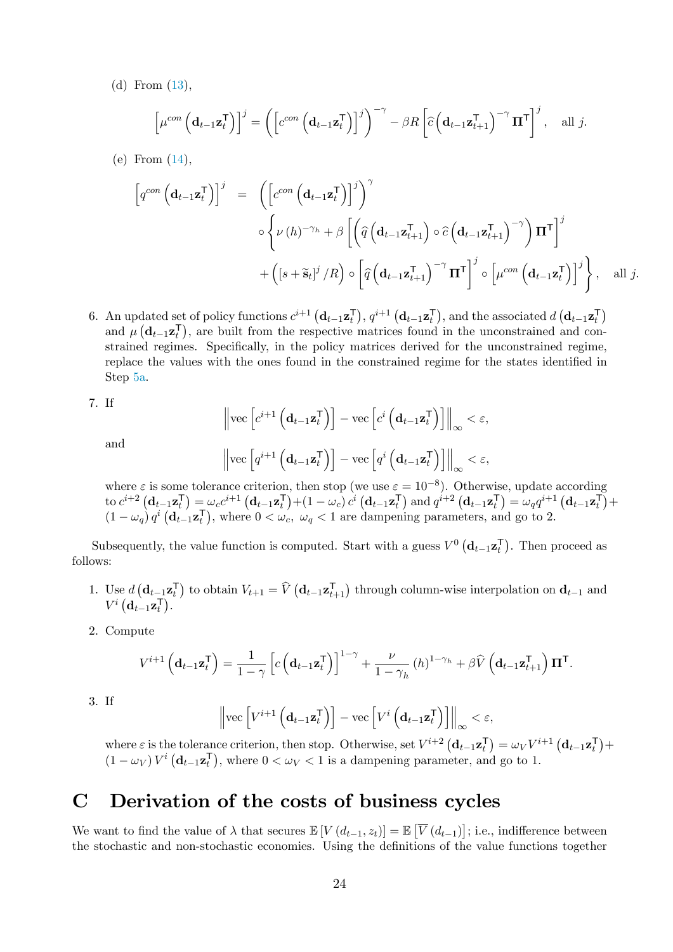(d) From [\(13\)](#page-6-7),

$$
\left[\mu^{con}\left(\mathbf{d}_{t-1}\mathbf{z}_{t}^{\mathsf{T}}\right)\right]^{j} = \left(\left[c^{con}\left(\mathbf{d}_{t-1}\mathbf{z}_{t}^{\mathsf{T}}\right)\right]^{j}\right)^{-\gamma} - \beta R\left[\widehat{c}\left(\mathbf{d}_{t-1}\mathbf{z}_{t+1}^{\mathsf{T}}\right)^{-\gamma}\mathbf{\Pi}^{\mathsf{T}}\right]^{j}, \text{ all } j.
$$

(e) From [\(14\)](#page-6-8),

$$
\begin{array}{rcl}\n\left[q^{con}\left(\mathbf{d}_{t-1}\mathbf{z}_{t}^{\mathsf{T}}\right)\right]^{j} & = & \left(\left[c^{con}\left(\mathbf{d}_{t-1}\mathbf{z}_{t}^{\mathsf{T}}\right)\right]^{j}\right)^{\gamma} \\
& \diamond \left\{\nu\left(h\right)^{-\gamma_{h}} + \beta\left[\left(\widehat{q}\left(\mathbf{d}_{t-1}\mathbf{z}_{t+1}^{\mathsf{T}}\right) \circ \widehat{c}\left(\mathbf{d}_{t-1}\mathbf{z}_{t+1}^{\mathsf{T}}\right)^{-\gamma}\right)\mathbf{\Pi}^{\mathsf{T}}\right]^{j} \\
& & + \left(\left[s + \widetilde{\mathbf{s}}_{t}\right]^{j}/R\right) \circ \left[\widehat{q}\left(\mathbf{d}_{t-1}\mathbf{z}_{t+1}^{\mathsf{T}}\right)^{-\gamma}\mathbf{\Pi}^{\mathsf{T}}\right]^{j} \circ \left[\mu^{con}\left(\mathbf{d}_{t-1}\mathbf{z}_{t}^{\mathsf{T}}\right)\right]^{j}\right\}, \quad \text{all } j.\n\end{array}
$$

6. An updated set of policy functions  $c^{i+1} (\mathbf{d}_{t-1} \mathbf{z}_t^{\mathsf{T}}), q^{i+1} (\mathbf{d}_{t-1} \mathbf{z}_t^{\mathsf{T}})$ , and the associated  $d (\mathbf{d}_{t-1} \mathbf{z}_t^{\mathsf{T}})$ and  $\mu\left(\mathbf{d}_{t-1}\mathbf{z}_{t}^{\mathsf{T}}\right)$ , are built from the respective matrices found in the unconstrained and constrained regimes. Specifically, in the policy matrices derived for the unconstrained regime, replace the values with the ones found in the constrained regime for the states identified in Step [5a.](#page-23-1)

7. If

and

$$
\left\|\text{vec}\left[c^{i+1}\left(\mathbf{d}_{t-1}\mathbf{z}_{t}^{\mathsf{T}}\right)\right] - \text{vec}\left[c^{i}\left(\mathbf{d}_{t-1}\mathbf{z}_{t}^{\mathsf{T}}\right)\right]\right\|_{\infty} < \varepsilon,
$$
\n
$$
\left\|\text{vec}\left[q^{i+1}\left(\mathbf{d}_{t-1}\mathbf{z}_{t}^{\mathsf{T}}\right)\right] - \text{vec}\left[q^{i}\left(\mathbf{d}_{t-1}\mathbf{z}_{t}^{\mathsf{T}}\right)\right]\right\|_{\infty} < \varepsilon,
$$

where  $\varepsilon$  is some tolerance criterion, then stop (we use  $\varepsilon = 10^{-8}$ ). Otherwise, update according to  $c^{i+2}$   $(\mathbf{d}_{t-1} \mathbf{z}_t^{\mathsf{T}}) = \omega_c c^{i+1} (\mathbf{d}_{t-1} \mathbf{z}_t^{\mathsf{T}}) + (1 - \omega_c) c^i (\mathbf{d}_{t-1} \mathbf{z}_t^{\mathsf{T}})$  and  $q^{i+2} (\mathbf{d}_{t-1} \mathbf{z}_t^{\mathsf{T}}) = \omega_q q^{i+1} (\mathbf{d}_{t-1} \mathbf{z}_t^{\mathsf{T}}) +$  $(1 - \omega_q) q^i \left( \mathbf{d}_{t-1} \mathbf{z}_t^{\mathsf{T}} \right)$ , where  $0 < \omega_c$ ,  $\omega_q < 1$  are dampening parameters, and go to 2.

Subsequently, the value function is computed. Start with a guess  $V^0(\mathbf{d}_{t-1} \mathbf{z}_t^{\mathsf{T}})$ . Then proceed as follows:

- 1. Use  $d\left(\mathbf{d}_{t-1}\mathbf{z}_{t}^{\mathsf{T}}\right)$  to obtain  $V_{t+1} = \hat{V}\left(\mathbf{d}_{t-1}\mathbf{z}_{t+1}^{\mathsf{T}}\right)$  through column-wise interpolation on  $\mathbf{d}_{t-1}$  and  $V^i\left(\mathbf{d}_{t-1}\mathbf{z}_{t}^{\mathsf{T}}\right)$ .
- 2. Compute

$$
V^{i+1}\left(\mathbf{d}_{t-1}\mathbf{z}_{t}^{\mathsf{T}}\right) = \frac{1}{1-\gamma}\left[c\left(\mathbf{d}_{t-1}\mathbf{z}_{t}^{\mathsf{T}}\right)\right]^{1-\gamma} + \frac{\nu}{1-\gamma_{h}}\left(h\right)^{1-\gamma_{h}} + \beta\widehat{V}\left(\mathbf{d}_{t-1}\mathbf{z}_{t+1}^{\mathsf{T}}\right)\mathbf{\Pi}^{\mathsf{T}}.
$$
  
3. If 
$$
\left\|\text{vec}\left[V^{i+1}\left(\mathbf{d}_{t-1}\mathbf{z}_{t}^{\mathsf{T}}\right)\right] - \text{vec}\left[V^{i}\left(\mathbf{d}_{t-1}\mathbf{z}_{t}^{\mathsf{T}}\right)\right]\right\|_{\infty} < \varepsilon,
$$

where  $\varepsilon$  is the tolerance criterion, then stop. Otherwise, set  $V^{i+2} (\mathbf{d}_{t-1} \mathbf{z}_t^{\mathsf{T}}) = \omega_V V^{i+1} (\mathbf{d}_{t-1} \mathbf{z}_t^{\mathsf{T}}) +$  $(1 - \omega_V) V^i \left( \mathbf{d}_{t-1} \mathbf{z}_t^{\mathsf{T}} \right)$ , where  $0 < \omega_V < 1$  is a dampening parameter, and go to 1.

## C Derivation of the costs of business cycles

We want to find the value of  $\lambda$  that secures  $\mathbb{E}[V(d_{t-1}, z_t)] = \mathbb{E}[\overline{V(d_{t-1})}]$ ; i.e., indifference between the stochastic and non-stochastic economies. Using the definitions of the value functions together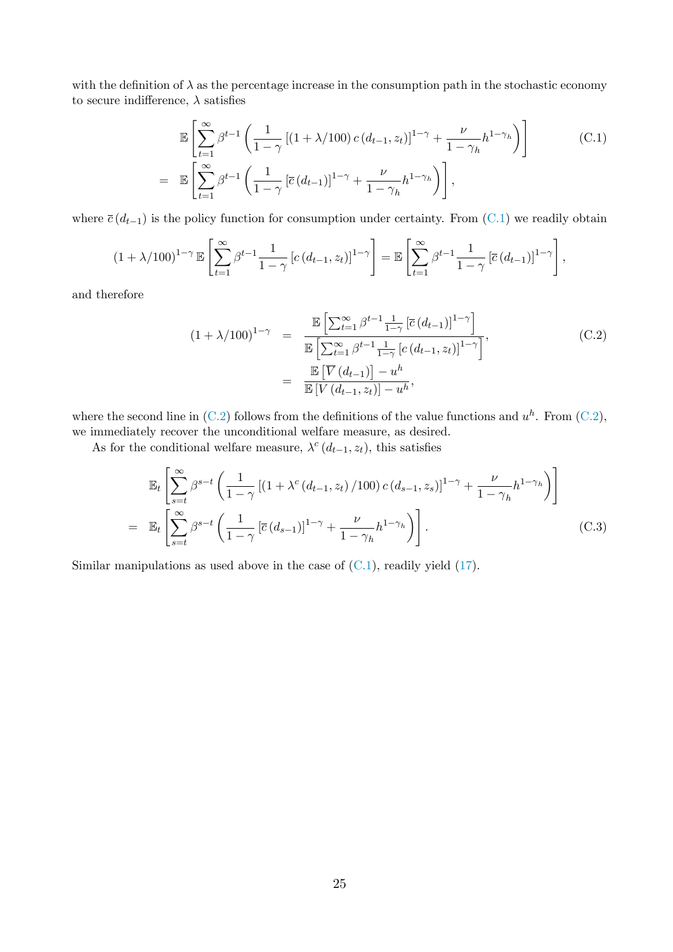with the definition of  $\lambda$  as the percentage increase in the consumption path in the stochastic economy to secure indifference,  $\lambda$  satisfies

<span id="page-25-0"></span>
$$
\mathbb{E}\left[\sum_{t=1}^{\infty}\beta^{t-1}\left(\frac{1}{1-\gamma}\left[(1+\lambda/100)\,c\,(d_{t-1},z_t)\right]^{1-\gamma}+\frac{\nu}{1-\gamma_h}h^{1-\gamma_h}\right)\right]
$$
\n
$$
=\mathbb{E}\left[\sum_{t=1}^{\infty}\beta^{t-1}\left(\frac{1}{1-\gamma}\left[\overline{c}\,(d_{t-1})\right]^{1-\gamma}+\frac{\nu}{1-\gamma_h}h^{1-\gamma_h}\right)\right],\tag{C.1}
$$

where  $\bar{c}(d_{t-1})$  is the policy function for consumption under certainty. From [\(C.1\)](#page-25-0) we readily obtain

$$
(1+\lambda/100)^{1-\gamma}\mathbb{E}\left[\sum_{t=1}^{\infty}\beta^{t-1}\frac{1}{1-\gamma}\left[c\left(d_{t-1},z_{t}\right)\right]^{1-\gamma}\right]=\mathbb{E}\left[\sum_{t=1}^{\infty}\beta^{t-1}\frac{1}{1-\gamma}\left[\overline{c}\left(d_{t-1}\right)\right]^{1-\gamma}\right],
$$

and therefore

<span id="page-25-1"></span>
$$
(1 + \lambda/100)^{1-\gamma} = \frac{\mathbb{E}\left[\sum_{t=1}^{\infty} \beta^{t-1} \frac{1}{1-\gamma} \left[\bar{c} \left(d_{t-1}\right)\right]^{1-\gamma}\right]}{\mathbb{E}\left[\sum_{t=1}^{\infty} \beta^{t-1} \frac{1}{1-\gamma} \left[c \left(d_{t-1}, z_t\right)\right]^{1-\gamma}\right]},
$$
\n
$$
= \frac{\mathbb{E}\left[\overline{V} \left(d_{t-1}\right)\right] - u^h}{\mathbb{E}\left[\overline{V} \left(d_{t-1}, z_t\right)\right] - u^h},
$$
\n(C.2)

where the second line in  $(C.2)$  follows from the definitions of the value functions and  $u^h$ . From  $(C.2)$ , we immediately recover the unconditional welfare measure, as desired.

As for the conditional welfare measure,  $\lambda^c(d_{t-1}, z_t)$ , this satisfies

$$
\mathbb{E}_{t}\left[\sum_{s=t}^{\infty}\beta^{s-t}\left(\frac{1}{1-\gamma}\left[\left(1+\lambda^{c}\left(d_{t-1},z_{t}\right)/100\right)c\left(d_{s-1},z_{s}\right)\right]^{1-\gamma}+\frac{\nu}{1-\gamma_{h}}h^{1-\gamma_{h}}\right)\right]
$$
\n
$$
=\mathbb{E}_{t}\left[\sum_{s=t}^{\infty}\beta^{s-t}\left(\frac{1}{1-\gamma}\left[\overline{c}\left(d_{s-1}\right)\right]^{1-\gamma}+\frac{\nu}{1-\gamma_{h}}h^{1-\gamma_{h}}\right)\right].
$$
\n(C.3)

Similar manipulations as used above in the case of  $(C.1)$ , readily yield  $(17)$ .